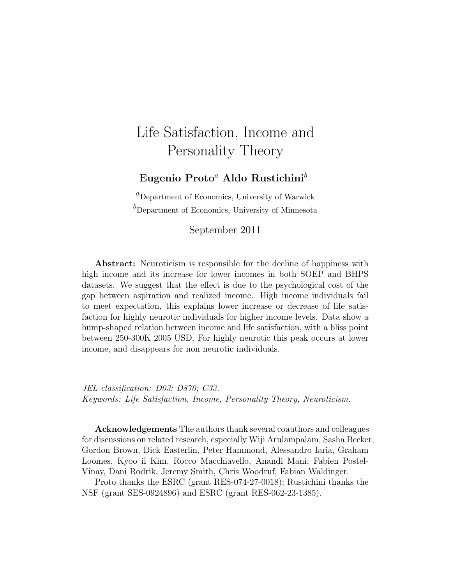### Life Satisfaction, Income and Personality Theory

#### Eugenio Proto<sup>a</sup> Aldo Rustichini<sup>b</sup>

 ${}^{a}$ Department of Economics, University of Warwick  $b<sup>b</sup>$ Department of Economics, University of Minnesota

#### September 2011

Abstract: Neuroticism is responsible for the decline of happiness with high income and its increase for lower incomes in both SOEP and BHPS datasets. We suggest that the effect is due to the psychological cost of the gap between aspiration and realized income. High income individuals fail to meet expectation, this explains lower increase or decrease of life satisfaction for highly neurotic individuals for higher income levels. Data show a hump-shaped relation between income and life satisfaction, with a bliss point between 250-300K 2005 USD. For highly neurotic this peak occurs at lower income, and disappears for non neurotic individuals.

JEL classification: D03; D870; C33. Keywords: Life Satisfaction, Income, Personality Theory, Neuroticism.

Acknowledgements The authors thank several coauthors and colleagues for discussions on related research, especially Wiji Arulampalam, Sasha Becker, Gordon Brown, Dick Easterlin, Peter Hammond, Alessandro Iaria, Graham Loomes, Kyoo il Kim, Rocco Macchiavello, Anandi Mani, Fabien Postel-Vinay, Dani Rodrik, Jeremy Smith, Chris Woodruf, Fabian Waldinger.

Proto thanks the ESRC (grant RES-074-27-0018); Rustichini thanks the NSF (grant SES-0924896) and ESRC (grant RES-062-23-1385).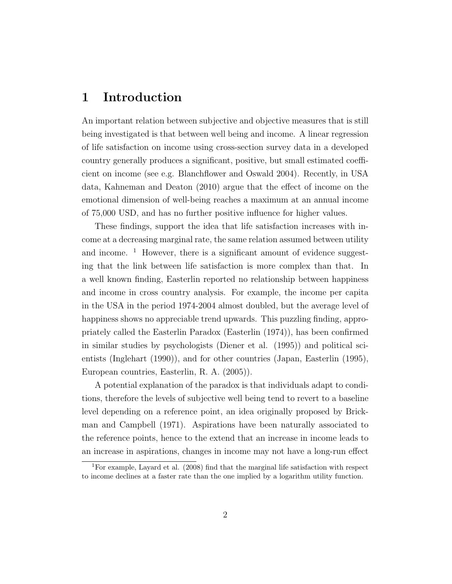### 1 Introduction

An important relation between subjective and objective measures that is still being investigated is that between well being and income. A linear regression of life satisfaction on income using cross-section survey data in a developed country generally produces a significant, positive, but small estimated coefficient on income (see e.g. Blanchflower and Oswald 2004). Recently, in USA data, Kahneman and Deaton (2010) argue that the effect of income on the emotional dimension of well-being reaches a maximum at an annual income of 75,000 USD, and has no further positive influence for higher values.

These findings, support the idea that life satisfaction increases with income at a decreasing marginal rate, the same relation assumed between utility and income.  $\frac{1}{1}$  However, there is a significant amount of evidence suggesting that the link between life satisfaction is more complex than that. In a well known finding, Easterlin reported no relationship between happiness and income in cross country analysis. For example, the income per capita in the USA in the period 1974-2004 almost doubled, but the average level of happiness shows no appreciable trend upwards. This puzzling finding, appropriately called the Easterlin Paradox (Easterlin (1974)), has been confirmed in similar studies by psychologists (Diener et al. (1995)) and political scientists (Inglehart (1990)), and for other countries (Japan, Easterlin (1995), European countries, Easterlin, R. A. (2005)).

A potential explanation of the paradox is that individuals adapt to conditions, therefore the levels of subjective well being tend to revert to a baseline level depending on a reference point, an idea originally proposed by Brickman and Campbell (1971). Aspirations have been naturally associated to the reference points, hence to the extend that an increase in income leads to an increase in aspirations, changes in income may not have a long-run effect

<sup>1</sup>For example, Layard et al. (2008) find that the marginal life satisfaction with respect to income declines at a faster rate than the one implied by a logarithm utility function.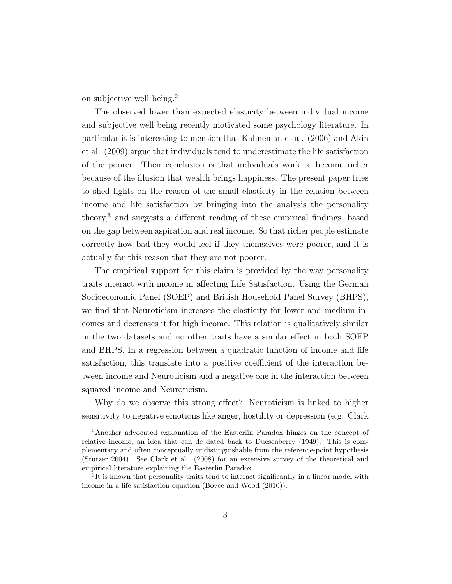on subjective well being.<sup>2</sup>

The observed lower than expected elasticity between individual income and subjective well being recently motivated some psychology literature. In particular it is interesting to mention that Kahneman et al. (2006) and Akin et al. (2009) argue that individuals tend to underestimate the life satisfaction of the poorer. Their conclusion is that individuals work to become richer because of the illusion that wealth brings happiness. The present paper tries to shed lights on the reason of the small elasticity in the relation between income and life satisfaction by bringing into the analysis the personality theory,<sup>3</sup> and suggests a different reading of these empirical findings, based on the gap between aspiration and real income. So that richer people estimate correctly how bad they would feel if they themselves were poorer, and it is actually for this reason that they are not poorer.

The empirical support for this claim is provided by the way personality traits interact with income in affecting Life Satisfaction. Using the German Socioeconomic Panel (SOEP) and British Household Panel Survey (BHPS), we find that Neuroticism increases the elasticity for lower and medium incomes and decreases it for high income. This relation is qualitatively similar in the two datasets and no other traits have a similar effect in both SOEP and BHPS. In a regression between a quadratic function of income and life satisfaction, this translate into a positive coefficient of the interaction between income and Neuroticism and a negative one in the interaction between squared income and Neuroticism.

Why do we observe this strong effect? Neuroticism is linked to higher sensitivity to negative emotions like anger, hostility or depression (e.g. Clark

<sup>2</sup>Another advocated explanation of the Easterlin Paradox hinges on the concept of relative income, an idea that can de dated back to Duesenberry (1949). This is complementary and often conceptually undistinguishable from the reference-point hypothesis (Stutzer 2004). See Clark et al. (2008) for an extensive survey of the theoretical and empirical literature explaining the Easterlin Paradox.

<sup>&</sup>lt;sup>3</sup>It is known that personality traits tend to interact significantly in a linear model with income in a life satisfaction equation (Boyce and Wood (2010)).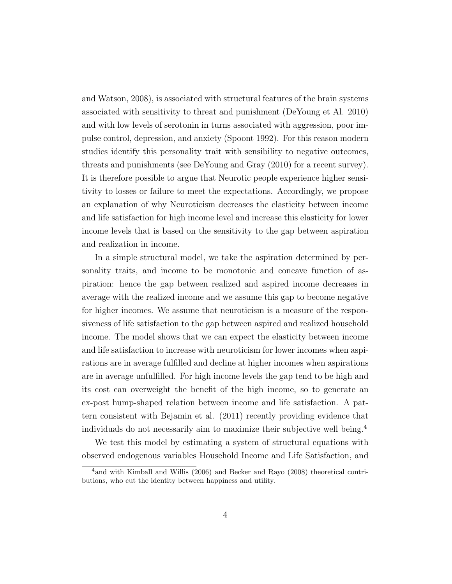and Watson, 2008), is associated with structural features of the brain systems associated with sensitivity to threat and punishment (DeYoung et Al. 2010) and with low levels of serotonin in turns associated with aggression, poor impulse control, depression, and anxiety (Spoont 1992). For this reason modern studies identify this personality trait with sensibility to negative outcomes, threats and punishments (see DeYoung and Gray (2010) for a recent survey). It is therefore possible to argue that Neurotic people experience higher sensitivity to losses or failure to meet the expectations. Accordingly, we propose an explanation of why Neuroticism decreases the elasticity between income and life satisfaction for high income level and increase this elasticity for lower income levels that is based on the sensitivity to the gap between aspiration and realization in income.

In a simple structural model, we take the aspiration determined by personality traits, and income to be monotonic and concave function of aspiration: hence the gap between realized and aspired income decreases in average with the realized income and we assume this gap to become negative for higher incomes. We assume that neuroticism is a measure of the responsiveness of life satisfaction to the gap between aspired and realized household income. The model shows that we can expect the elasticity between income and life satisfaction to increase with neuroticism for lower incomes when aspirations are in average fulfilled and decline at higher incomes when aspirations are in average unfulfilled. For high income levels the gap tend to be high and its cost can overweight the benefit of the high income, so to generate an ex-post hump-shaped relation between income and life satisfaction. A pattern consistent with Bejamin et al. (2011) recently providing evidence that individuals do not necessarily aim to maximize their subjective well being.<sup>4</sup>

We test this model by estimating a system of structural equations with observed endogenous variables Household Income and Life Satisfaction, and

<sup>4</sup>and with Kimball and Willis (2006) and Becker and Rayo (2008) theoretical contributions, who cut the identity between happiness and utility.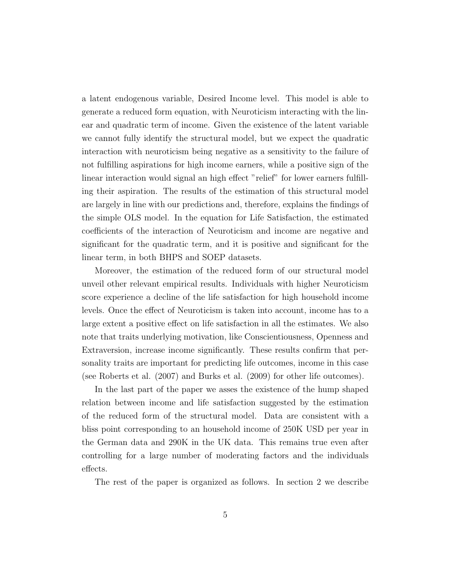a latent endogenous variable, Desired Income level. This model is able to generate a reduced form equation, with Neuroticism interacting with the linear and quadratic term of income. Given the existence of the latent variable we cannot fully identify the structural model, but we expect the quadratic interaction with neuroticism being negative as a sensitivity to the failure of not fulfilling aspirations for high income earners, while a positive sign of the linear interaction would signal an high effect "relief" for lower earners fulfilling their aspiration. The results of the estimation of this structural model are largely in line with our predictions and, therefore, explains the findings of the simple OLS model. In the equation for Life Satisfaction, the estimated coefficients of the interaction of Neuroticism and income are negative and significant for the quadratic term, and it is positive and significant for the linear term, in both BHPS and SOEP datasets.

Moreover, the estimation of the reduced form of our structural model unveil other relevant empirical results. Individuals with higher Neuroticism score experience a decline of the life satisfaction for high household income levels. Once the effect of Neuroticism is taken into account, income has to a large extent a positive effect on life satisfaction in all the estimates. We also note that traits underlying motivation, like Conscientiousness, Openness and Extraversion, increase income significantly. These results confirm that personality traits are important for predicting life outcomes, income in this case (see Roberts et al. (2007) and Burks et al. (2009) for other life outcomes).

In the last part of the paper we asses the existence of the hump shaped relation between income and life satisfaction suggested by the estimation of the reduced form of the structural model. Data are consistent with a bliss point corresponding to an household income of 250K USD per year in the German data and 290K in the UK data. This remains true even after controlling for a large number of moderating factors and the individuals effects.

The rest of the paper is organized as follows. In section 2 we describe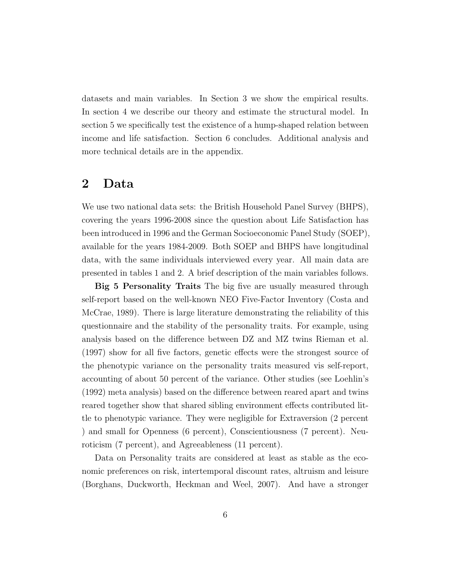datasets and main variables. In Section 3 we show the empirical results. In section 4 we describe our theory and estimate the structural model. In section 5 we specifically test the existence of a hump-shaped relation between income and life satisfaction. Section 6 concludes. Additional analysis and more technical details are in the appendix.

### 2 Data

We use two national data sets: the British Household Panel Survey (BHPS), covering the years 1996-2008 since the question about Life Satisfaction has been introduced in 1996 and the German Socioeconomic Panel Study (SOEP), available for the years 1984-2009. Both SOEP and BHPS have longitudinal data, with the same individuals interviewed every year. All main data are presented in tables 1 and 2. A brief description of the main variables follows.

Big 5 Personality Traits The big five are usually measured through self-report based on the well-known NEO Five-Factor Inventory (Costa and McCrae, 1989). There is large literature demonstrating the reliability of this questionnaire and the stability of the personality traits. For example, using analysis based on the difference between DZ and MZ twins Rieman et al. (1997) show for all five factors, genetic effects were the strongest source of the phenotypic variance on the personality traits measured vis self-report, accounting of about 50 percent of the variance. Other studies (see Loehlin's (1992) meta analysis) based on the difference between reared apart and twins reared together show that shared sibling environment effects contributed little to phenotypic variance. They were negligible for Extraversion (2 percent ) and small for Openness (6 percent), Conscientiousness (7 percent). Neuroticism (7 percent), and Agreeableness (11 percent).

Data on Personality traits are considered at least as stable as the economic preferences on risk, intertemporal discount rates, altruism and leisure (Borghans, Duckworth, Heckman and Weel, 2007). And have a stronger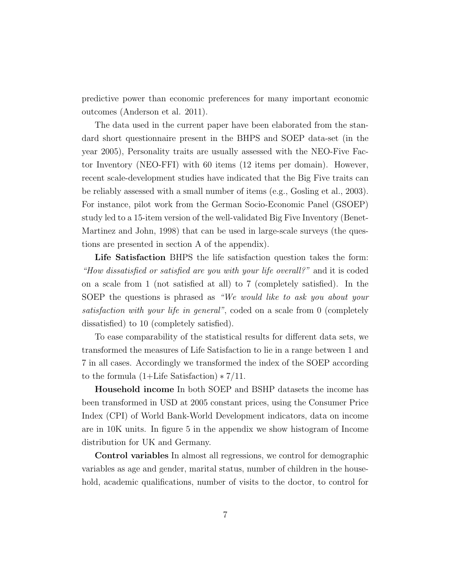predictive power than economic preferences for many important economic outcomes (Anderson et al. 2011).

The data used in the current paper have been elaborated from the standard short questionnaire present in the BHPS and SOEP data-set (in the year 2005), Personality traits are usually assessed with the NEO-Five Factor Inventory (NEO-FFI) with 60 items (12 items per domain). However, recent scale-development studies have indicated that the Big Five traits can be reliably assessed with a small number of items (e.g., Gosling et al., 2003). For instance, pilot work from the German Socio-Economic Panel (GSOEP) study led to a 15-item version of the well-validated Big Five Inventory (Benet-Martinez and John, 1998) that can be used in large-scale surveys (the questions are presented in section A of the appendix).

Life Satisfaction BHPS the life satisfaction question takes the form: "How dissatisfied or satisfied are you with your life overall?" and it is coded on a scale from 1 (not satisfied at all) to 7 (completely satisfied). In the SOEP the questions is phrased as "We would like to ask you about your satisfaction with your life in general", coded on a scale from 0 (completely dissatisfied) to 10 (completely satisfied).

To ease comparability of the statistical results for different data sets, we transformed the measures of Life Satisfaction to lie in a range between 1 and 7 in all cases. Accordingly we transformed the index of the SOEP according to the formula  $(1+Life Satisfaction) * 7/11$ .

Household income In both SOEP and BSHP datasets the income has been transformed in USD at 2005 constant prices, using the Consumer Price Index (CPI) of World Bank-World Development indicators, data on income are in 10K units. In figure 5 in the appendix we show histogram of Income distribution for UK and Germany.

Control variables In almost all regressions, we control for demographic variables as age and gender, marital status, number of children in the household, academic qualifications, number of visits to the doctor, to control for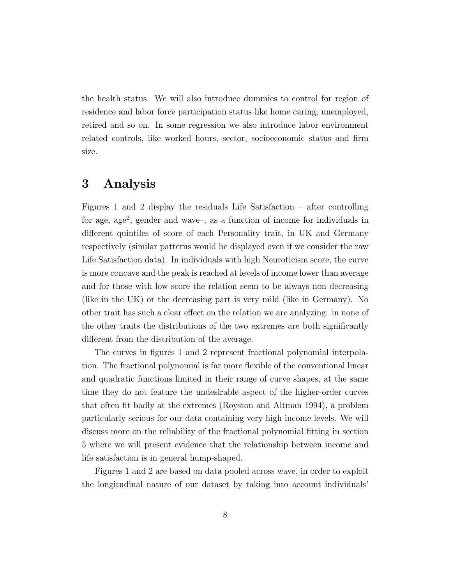the health status. We will also introduce dummies to control for region of residence and labor force participation status like home caring, unemployed, retired and so on. In some regression we also introduce labor environment related controls, like worked hours, sector, socioeconomic status and firm size.

### 3 Analysis

Figures 1 and 2 display the residuals Life Satisfaction – after controlling for age, age<sup>2</sup>, gender and wave-, as a function of income for individuals in different quintiles of score of each Personality trait, in UK and Germany respectively (similar patterns would be displayed even if we consider the raw Life Satisfaction data). In individuals with high Neuroticism score, the curve is more concave and the peak is reached at levels of income lower than average and for those with low score the relation seem to be always non decreasing (like in the UK) or the decreasing part is very mild (like in Germany). No other trait has such a clear effect on the relation we are analyzing: in none of the other traits the distributions of the two extremes are both significantly different from the distribution of the average.

The curves in figures 1 and 2 represent fractional polynomial interpolation. The fractional polynomial is far more flexible of the conventional linear and quadratic functions limited in their range of curve shapes, at the same time they do not feature the undesirable aspect of the higher-order curves that often fit badly at the extremes (Royston and Altman 1994), a problem particularly serious for our data containing very high income levels. We will discuss more on the reliability of the fractional polynomial fitting in section 5 where we will present evidence that the relationship between income and life satisfaction is in general hump-shaped.

Figures 1 and 2 are based on data pooled across wave, in order to exploit the longitudinal nature of our dataset by taking into account individuals'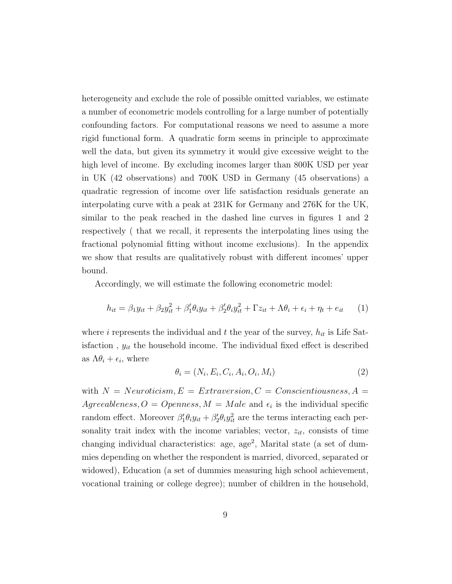heterogeneity and exclude the role of possible omitted variables, we estimate a number of econometric models controlling for a large number of potentially confounding factors. For computational reasons we need to assume a more rigid functional form. A quadratic form seems in principle to approximate well the data, but given its symmetry it would give excessive weight to the high level of income. By excluding incomes larger than 800K USD per year in UK (42 observations) and 700K USD in Germany (45 observations) a quadratic regression of income over life satisfaction residuals generate an interpolating curve with a peak at 231K for Germany and 276K for the UK, similar to the peak reached in the dashed line curves in figures 1 and 2 respectively ( that we recall, it represents the interpolating lines using the fractional polynomial fitting without income exclusions). In the appendix we show that results are qualitatively robust with different incomes' upper bound.

Accordingly, we will estimate the following econometric model:

$$
h_{it} = \beta_1 y_{it} + \beta_2 y_{it}^2 + \beta_1' \theta_i y_{it} + \beta_2' \theta_i y_{it}^2 + \Gamma z_{it} + \Lambda \theta_i + \epsilon_i + \eta_t + \epsilon_{it} \tag{1}
$$

where i represents the individual and t the year of the survey,  $h_{it}$  is Life Satisfaction,  $y_{it}$  the household income. The individual fixed effect is described as  $\Lambda \theta_i + \epsilon_i$ , where

$$
\theta_i = (N_i, E_i, C_i, A_i, O_i, M_i) \tag{2}
$$

with  $N = Neuroticism, E = Extraversion, C = Conscientiousness, A =$  $Agreableness, O = Openness, M = Male$  and  $\epsilon_i$  is the individual specific random effect. Moreover  $\beta'_1 \theta_i y_{it} + \beta'_2 \theta_i y_{it}^2$  are the terms interacting each personality trait index with the income variables; vector,  $z_{it}$ , consists of time changing individual characteristics: age, age<sup>2</sup>, Marital state (a set of dummies depending on whether the respondent is married, divorced, separated or widowed), Education (a set of dummies measuring high school achievement, vocational training or college degree); number of children in the household,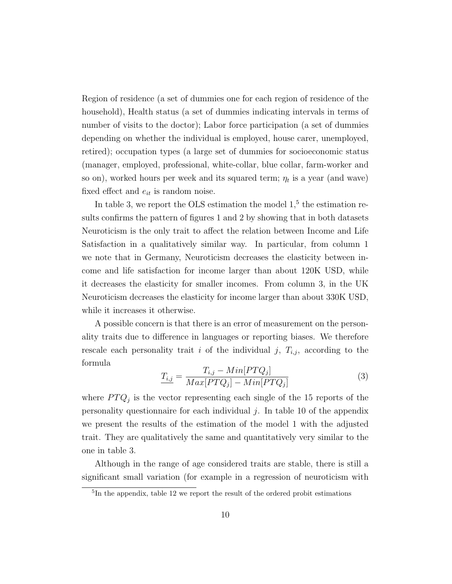Region of residence (a set of dummies one for each region of residence of the household), Health status (a set of dummies indicating intervals in terms of number of visits to the doctor); Labor force participation (a set of dummies depending on whether the individual is employed, house carer, unemployed, retired); occupation types (a large set of dummies for socioeconomic status (manager, employed, professional, white-collar, blue collar, farm-worker and so on), worked hours per week and its squared term;  $\eta_t$  is a year (and wave) fixed effect and  $e_{it}$  is random noise.

In table 3, we report the OLS estimation the model  $1<sup>5</sup>$ , the estimation results confirms the pattern of figures 1 and 2 by showing that in both datasets Neuroticism is the only trait to affect the relation between Income and Life Satisfaction in a qualitatively similar way. In particular, from column 1 we note that in Germany, Neuroticism decreases the elasticity between income and life satisfaction for income larger than about 120K USD, while it decreases the elasticity for smaller incomes. From column 3, in the UK Neuroticism decreases the elasticity for income larger than about 330K USD, while it increases it otherwise.

A possible concern is that there is an error of measurement on the personality traits due to difference in languages or reporting biases. We therefore rescale each personality trait i of the individual j,  $T_{i,j}$ , according to the formula

$$
T_{i,j} = \frac{T_{i,j} - Min[PTQ_j]}{Max[PTQ_j] - Min[PTQ_j]}
$$
(3)

where  $PTQ_j$  is the vector representing each single of the 15 reports of the personality questionnaire for each individual  $j$ . In table 10 of the appendix we present the results of the estimation of the model 1 with the adjusted trait. They are qualitatively the same and quantitatively very similar to the one in table 3.

Although in the range of age considered traits are stable, there is still a significant small variation (for example in a regression of neuroticism with

<sup>&</sup>lt;sup>5</sup>In the appendix, table 12 we report the result of the ordered probit estimations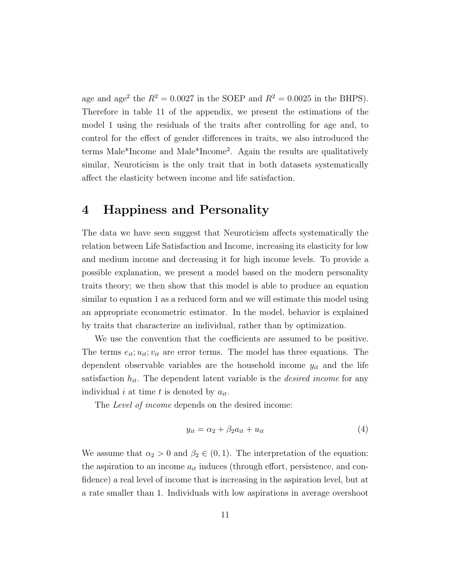age and age<sup>2</sup> the  $R^2 = 0.0027$  in the SOEP and  $R^2 = 0.0025$  in the BHPS). Therefore in table 11 of the appendix, we present the estimations of the model 1 using the residuals of the traits after controlling for age and, to control for the effect of gender differences in traits, we also introduced the terms Male\*Income and Male\*Income<sup>2</sup> . Again the results are qualitatively similar, Neuroticism is the only trait that in both datasets systematically affect the elasticity between income and life satisfaction.

### 4 Happiness and Personality

The data we have seen suggest that Neuroticism affects systematically the relation between Life Satisfaction and Income, increasing its elasticity for low and medium income and decreasing it for high income levels. To provide a possible explanation, we present a model based on the modern personality traits theory; we then show that this model is able to produce an equation similar to equation 1 as a reduced form and we will estimate this model using an appropriate econometric estimator. In the model, behavior is explained by traits that characterize an individual, rather than by optimization.

We use the convention that the coefficients are assumed to be positive. The terms  $e_{it}$ ;  $u_{it}$ ;  $v_{it}$  are error terms. The model has three equations. The dependent observable variables are the household income  $y_{it}$  and the life satisfaction  $h_{it}$ . The dependent latent variable is the *desired income* for any individual i at time t is denoted by  $a_{it}$ .

The *Level of income* depends on the desired income:

$$
y_{it} = \alpha_2 + \beta_2 a_{it} + u_{it} \tag{4}
$$

We assume that  $\alpha_2 > 0$  and  $\beta_2 \in (0,1)$ . The interpretation of the equation: the aspiration to an income  $a_{it}$  induces (through effort, persistence, and confidence) a real level of income that is increasing in the aspiration level, but at a rate smaller than 1. Individuals with low aspirations in average overshoot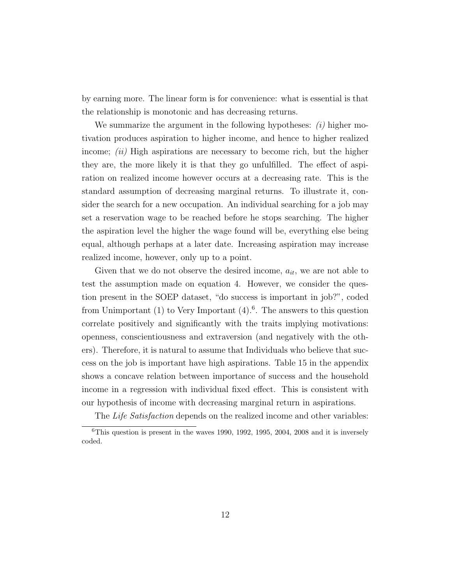by earning more. The linear form is for convenience: what is essential is that the relationship is monotonic and has decreasing returns.

We summarize the argument in the following hypotheses:  $(i)$  higher motivation produces aspiration to higher income, and hence to higher realized income;  $(ii)$  High aspirations are necessary to become rich, but the higher they are, the more likely it is that they go unfulfilled. The effect of aspiration on realized income however occurs at a decreasing rate. This is the standard assumption of decreasing marginal returns. To illustrate it, consider the search for a new occupation. An individual searching for a job may set a reservation wage to be reached before he stops searching. The higher the aspiration level the higher the wage found will be, everything else being equal, although perhaps at a later date. Increasing aspiration may increase realized income, however, only up to a point.

Given that we do not observe the desired income,  $a_{it}$ , we are not able to test the assumption made on equation 4. However, we consider the question present in the SOEP dataset, "do success is important in job?", coded from Unimportant  $(1)$  to Very Important  $(4)$ .<sup>6</sup>. The answers to this question correlate positively and significantly with the traits implying motivations: openness, conscientiousness and extraversion (and negatively with the others). Therefore, it is natural to assume that Individuals who believe that success on the job is important have high aspirations. Table 15 in the appendix shows a concave relation between importance of success and the household income in a regression with individual fixed effect. This is consistent with our hypothesis of income with decreasing marginal return in aspirations.

The Life Satisfaction depends on the realized income and other variables:

 ${}^{6}$ This question is present in the waves 1990, 1992, 1995, 2004, 2008 and it is inversely coded.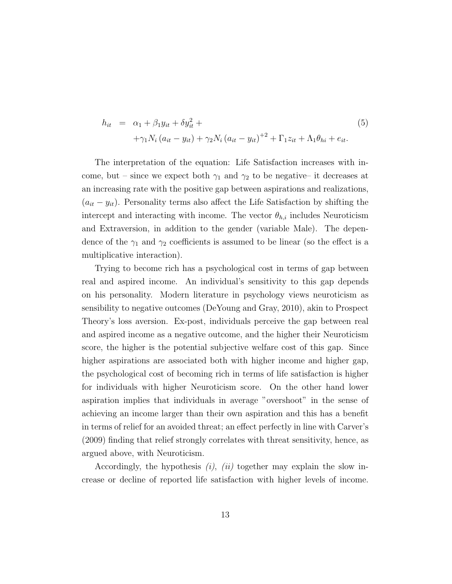$$
h_{it} = \alpha_1 + \beta_1 y_{it} + \delta y_{it}^2 +
$$
  
+ $\gamma_1 N_i (a_{it} - y_{it}) + \gamma_2 N_i (a_{it} - y_{it})^{+2} + \Gamma_1 z_{it} + \Lambda_1 \theta_{hi} + e_{it}.$  (5)

The interpretation of the equation: Life Satisfaction increases with income, but – since we expect both  $\gamma_1$  and  $\gamma_2$  to be negative– it decreases at an increasing rate with the positive gap between aspirations and realizations,  $(a_{it} - y_{it})$ . Personality terms also affect the Life Satisfaction by shifting the intercept and interacting with income. The vector  $\theta_{h,i}$  includes Neuroticism and Extraversion, in addition to the gender (variable Male). The dependence of the  $\gamma_1$  and  $\gamma_2$  coefficients is assumed to be linear (so the effect is a multiplicative interaction).

Trying to become rich has a psychological cost in terms of gap between real and aspired income. An individual's sensitivity to this gap depends on his personality. Modern literature in psychology views neuroticism as sensibility to negative outcomes (DeYoung and Gray, 2010), akin to Prospect Theory's loss aversion. Ex-post, individuals perceive the gap between real and aspired income as a negative outcome, and the higher their Neuroticism score, the higher is the potential subjective welfare cost of this gap. Since higher aspirations are associated both with higher income and higher gap, the psychological cost of becoming rich in terms of life satisfaction is higher for individuals with higher Neuroticism score. On the other hand lower aspiration implies that individuals in average "overshoot" in the sense of achieving an income larger than their own aspiration and this has a benefit in terms of relief for an avoided threat; an effect perfectly in line with Carver's (2009) finding that relief strongly correlates with threat sensitivity, hence, as argued above, with Neuroticism.

Accordingly, the hypothesis  $(i)$ ,  $(ii)$  together may explain the slow increase or decline of reported life satisfaction with higher levels of income.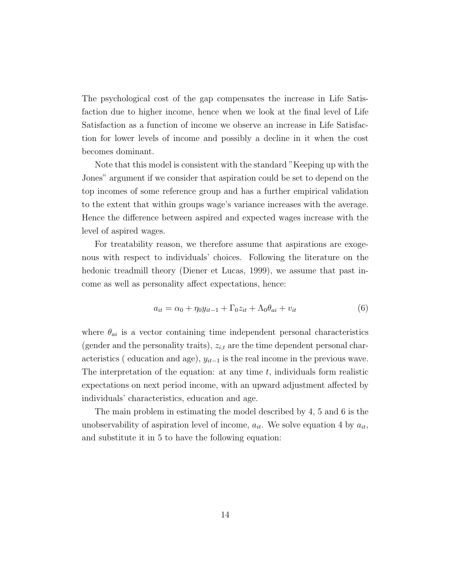The psychological cost of the gap compensates the increase in Life Satisfaction due to higher income, hence when we look at the final level of Life Satisfaction as a function of income we observe an increase in Life Satisfaction for lower levels of income and possibly a decline in it when the cost becomes dominant.

Note that this model is consistent with the standard "Keeping up with the Jones" argument if we consider that aspiration could be set to depend on the top incomes of some reference group and has a further empirical validation to the extent that within groups wage's variance increases with the average. Hence the difference between aspired and expected wages increase with the level of aspired wages.

For treatability reason, we therefore assume that aspirations are exogenous with respect to individuals' choices. Following the literature on the hedonic treadmill theory (Diener et Lucas, 1999), we assume that past income as well as personality affect expectations, hence:

$$
a_{it} = \alpha_0 + \eta_0 y_{it-1} + \Gamma_0 z_{it} + \Lambda_0 \theta_{ai} + v_{it}
$$
\n
$$
\tag{6}
$$

where  $\theta_{ai}$  is a vector containing time independent personal characteristics (gender and the personality traits),  $z_{i,t}$  are the time dependent personal characteristics ( education and age),  $y_{it-1}$  is the real income in the previous wave. The interpretation of the equation: at any time  $t$ , individuals form realistic expectations on next period income, with an upward adjustment affected by individuals' characteristics, education and age.

The main problem in estimating the model described by 4, 5 and 6 is the unobservability of aspiration level of income,  $a_{it}$ . We solve equation 4 by  $a_{it}$ , and substitute it in 5 to have the following equation: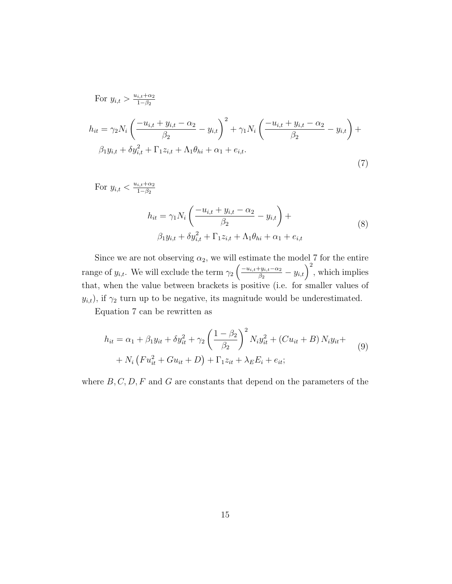For 
$$
y_{i,t} > \frac{u_{i,t} + \alpha_2}{1 - \beta_2}
$$
  
\n
$$
h_{it} = \gamma_2 N_i \left( \frac{-u_{i,t} + y_{i,t} - \alpha_2}{\beta_2} - y_{i,t} \right)^2 + \gamma_1 N_i \left( \frac{-u_{i,t} + y_{i,t} - \alpha_2}{\beta_2} - y_{i,t} \right) + \beta_1 y_{i,t} + \delta y_{i,t}^2 + \Gamma_1 z_{i,t} + \Lambda_1 \theta_{hi} + \alpha_1 + e_{i,t}.
$$
\n(7)

For  $y_{i,t} < \frac{u_{i,t}+\alpha_2}{1-\beta_2}$  $1-\beta_2$ 

$$
h_{it} = \gamma_1 N_i \left( \frac{-u_{i,t} + y_{i,t} - \alpha_2}{\beta_2} - y_{i,t} \right) +
$$
  

$$
\beta_1 y_{i,t} + \delta y_{i,t}^2 + \Gamma_1 z_{i,t} + \Lambda_1 \theta_{hi} + \alpha_1 + e_{i,t}
$$
 (8)

Since we are not observing  $\alpha_2$ , we will estimate the model 7 for the entire range of  $y_{i,t}$ . We will exclude the term  $\gamma_2 \left( \frac{-u_{i,t}+y_{i,t}-\alpha_2}{\beta_2} \right)$  $\left(y_{i,t}-\alpha_2}{\beta_2}-y_{i,t}\right)^2$ , which implies that, when the value between brackets is positive (i.e. for smaller values of  $y_{i,t}$ , if  $\gamma_2$  turn up to be negative, its magnitude would be underestimated.

Equation 7 can be rewritten as

$$
h_{it} = \alpha_1 + \beta_1 y_{it} + \delta y_{it}^2 + \gamma_2 \left(\frac{1 - \beta_2}{\beta_2}\right)^2 N_i y_{it}^2 + (Cu_{it} + B) N_i y_{it} + N_i \left(Fu_{it}^2 + Gu_{it} + D\right) + \Gamma_1 z_{it} + \lambda_E E_i + e_{it};
$$
\n(9)

where  $B, C, D, F$  and  $G$  are constants that depend on the parameters of the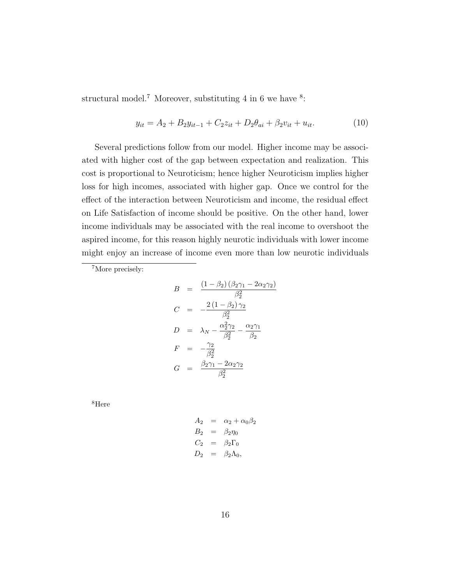structural model.<sup>7</sup> Moreover, substituting 4 in 6 we have <sup>8</sup>:

$$
y_{it} = A_2 + B_2 y_{it-1} + C_2 z_{it} + D_2 \theta_{ai} + \beta_2 v_{it} + u_{it}.
$$
 (10)

Several predictions follow from our model. Higher income may be associated with higher cost of the gap between expectation and realization. This cost is proportional to Neuroticism; hence higher Neuroticism implies higher loss for high incomes, associated with higher gap. Once we control for the effect of the interaction between Neuroticism and income, the residual effect on Life Satisfaction of income should be positive. On the other hand, lower income individuals may be associated with the real income to overshoot the aspired income, for this reason highly neurotic individuals with lower income might enjoy an increase of income even more than low neurotic individuals

<sup>7</sup>More precisely:

$$
B = \frac{(1 - \beta_2)(\beta_2\gamma_1 - 2\alpha_2\gamma_2)}{\beta_2^2}
$$
  
\n
$$
C = -\frac{2(1 - \beta_2)\gamma_2}{\beta_2^2}
$$
  
\n
$$
D = \lambda_N - \frac{\alpha_2^2\gamma_2}{\beta_2^2} - \frac{\alpha_2\gamma_1}{\beta_2}
$$
  
\n
$$
F = -\frac{\gamma_2}{\beta_2^2}
$$
  
\n
$$
G = \frac{\beta_2\gamma_1 - 2\alpha_2\gamma_2}{\beta_2^2}
$$

<sup>8</sup>Here

$$
A_2 = \alpha_2 + \alpha_0 \beta_2
$$
  
\n
$$
B_2 = \beta_2 \eta_0
$$
  
\n
$$
C_2 = \beta_2 \Gamma_0
$$
  
\n
$$
D_2 = \beta_2 \Lambda_0,
$$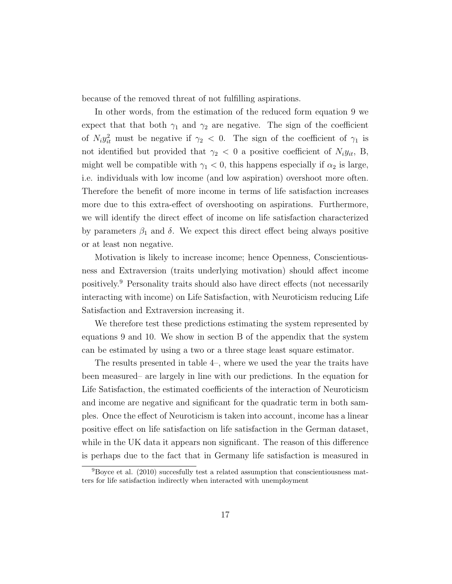because of the removed threat of not fulfilling aspirations.

In other words, from the estimation of the reduced form equation 9 we expect that that both  $\gamma_1$  and  $\gamma_2$  are negative. The sign of the coefficient of  $N_i y_{it}^2$  must be negative if  $\gamma_2$  < 0. The sign of the coefficient of  $\gamma_1$  is not identified but provided that  $\gamma_2$  < 0 a positive coefficient of  $N_i y_{it}$ , B, might well be compatible with  $\gamma_1 < 0$ , this happens especially if  $\alpha_2$  is large, i.e. individuals with low income (and low aspiration) overshoot more often. Therefore the benefit of more income in terms of life satisfaction increases more due to this extra-effect of overshooting on aspirations. Furthermore, we will identify the direct effect of income on life satisfaction characterized by parameters  $\beta_1$  and  $\delta$ . We expect this direct effect being always positive or at least non negative.

Motivation is likely to increase income; hence Openness, Conscientiousness and Extraversion (traits underlying motivation) should affect income positively.<sup>9</sup> Personality traits should also have direct effects (not necessarily interacting with income) on Life Satisfaction, with Neuroticism reducing Life Satisfaction and Extraversion increasing it.

We therefore test these predictions estimating the system represented by equations 9 and 10. We show in section B of the appendix that the system can be estimated by using a two or a three stage least square estimator.

The results presented in table 4–, where we used the year the traits have been measured– are largely in line with our predictions. In the equation for Life Satisfaction, the estimated coefficients of the interaction of Neuroticism and income are negative and significant for the quadratic term in both samples. Once the effect of Neuroticism is taken into account, income has a linear positive effect on life satisfaction on life satisfaction in the German dataset, while in the UK data it appears non significant. The reason of this difference is perhaps due to the fact that in Germany life satisfaction is measured in

 $9B$ oyce et al. (2010) succesfully test a related assumption that conscientiousness matters for life satisfaction indirectly when interacted with unemployment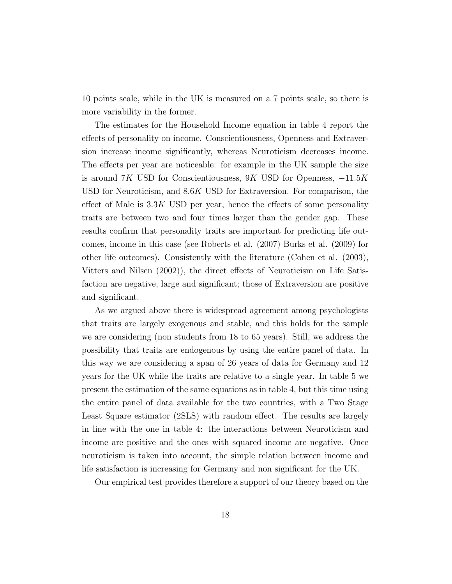10 points scale, while in the UK is measured on a 7 points scale, so there is more variability in the former.

The estimates for the Household Income equation in table 4 report the effects of personality on income. Conscientiousness, Openness and Extraversion increase income significantly, whereas Neuroticism decreases income. The effects per year are noticeable: for example in the UK sample the size is around  $7K$  USD for Conscientiousness,  $9K$  USD for Openness,  $-11.5K$ USD for Neuroticism, and 8.6K USD for Extraversion. For comparison, the effect of Male is  $3.3K$  USD per year, hence the effects of some personality traits are between two and four times larger than the gender gap. These results confirm that personality traits are important for predicting life outcomes, income in this case (see Roberts et al. (2007) Burks et al. (2009) for other life outcomes). Consistently with the literature (Cohen et al. (2003), Vitters and Nilsen (2002)), the direct effects of Neuroticism on Life Satisfaction are negative, large and significant; those of Extraversion are positive and significant.

As we argued above there is widespread agreement among psychologists that traits are largely exogenous and stable, and this holds for the sample we are considering (non students from 18 to 65 years). Still, we address the possibility that traits are endogenous by using the entire panel of data. In this way we are considering a span of 26 years of data for Germany and 12 years for the UK while the traits are relative to a single year. In table 5 we present the estimation of the same equations as in table 4, but this time using the entire panel of data available for the two countries, with a Two Stage Least Square estimator (2SLS) with random effect. The results are largely in line with the one in table 4: the interactions between Neuroticism and income are positive and the ones with squared income are negative. Once neuroticism is taken into account, the simple relation between income and life satisfaction is increasing for Germany and non significant for the UK.

Our empirical test provides therefore a support of our theory based on the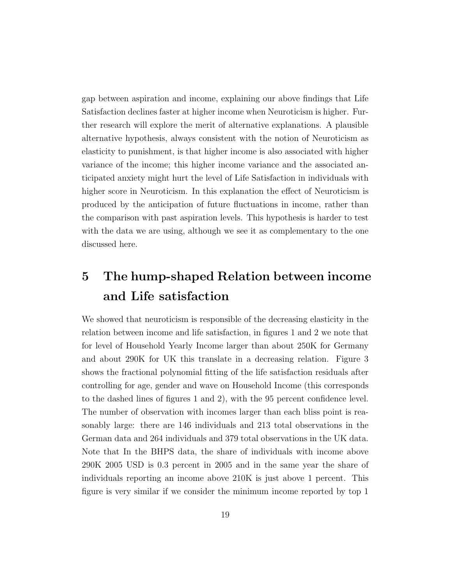gap between aspiration and income, explaining our above findings that Life Satisfaction declines faster at higher income when Neuroticism is higher. Further research will explore the merit of alternative explanations. A plausible alternative hypothesis, always consistent with the notion of Neuroticism as elasticity to punishment, is that higher income is also associated with higher variance of the income; this higher income variance and the associated anticipated anxiety might hurt the level of Life Satisfaction in individuals with higher score in Neuroticism. In this explanation the effect of Neuroticism is produced by the anticipation of future fluctuations in income, rather than the comparison with past aspiration levels. This hypothesis is harder to test with the data we are using, although we see it as complementary to the one discussed here.

### 5 The hump-shaped Relation between income and Life satisfaction

We showed that neuroticism is responsible of the decreasing elasticity in the relation between income and life satisfaction, in figures 1 and 2 we note that for level of Household Yearly Income larger than about 250K for Germany and about 290K for UK this translate in a decreasing relation. Figure 3 shows the fractional polynomial fitting of the life satisfaction residuals after controlling for age, gender and wave on Household Income (this corresponds to the dashed lines of figures 1 and 2), with the 95 percent confidence level. The number of observation with incomes larger than each bliss point is reasonably large: there are 146 individuals and 213 total observations in the German data and 264 individuals and 379 total observations in the UK data. Note that In the BHPS data, the share of individuals with income above 290K 2005 USD is 0.3 percent in 2005 and in the same year the share of individuals reporting an income above 210K is just above 1 percent. This figure is very similar if we consider the minimum income reported by top 1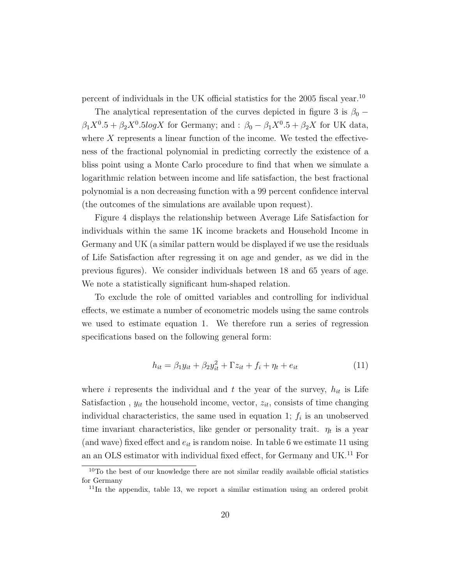percent of individuals in the UK official statistics for the 2005 fiscal year.<sup>10</sup>

The analytical representation of the curves depicted in figure 3 is  $\beta_0$  –  $\beta_1 X^0.5 + \beta_2 X^0.5 \log X$  for Germany; and :  $\beta_0 - \beta_1 X^0.5 + \beta_2 X$  for UK data, where X represents a linear function of the income. We tested the effectiveness of the fractional polynomial in predicting correctly the existence of a bliss point using a Monte Carlo procedure to find that when we simulate a logarithmic relation between income and life satisfaction, the best fractional polynomial is a non decreasing function with a 99 percent confidence interval (the outcomes of the simulations are available upon request).

Figure 4 displays the relationship between Average Life Satisfaction for individuals within the same 1K income brackets and Household Income in Germany and UK (a similar pattern would be displayed if we use the residuals of Life Satisfaction after regressing it on age and gender, as we did in the previous figures). We consider individuals between 18 and 65 years of age. We note a statistically significant hum-shaped relation.

To exclude the role of omitted variables and controlling for individual effects, we estimate a number of econometric models using the same controls we used to estimate equation 1. We therefore run a series of regression specifications based on the following general form:

$$
h_{it} = \beta_1 y_{it} + \beta_2 y_{it}^2 + \Gamma z_{it} + f_i + \eta_t + e_{it}
$$
\n(11)

where i represents the individual and t the year of the survey,  $h_{it}$  is Life Satisfaction,  $y_{it}$  the household income, vector,  $z_{it}$ , consists of time changing individual characteristics, the same used in equation 1;  $f_i$  is an unobserved time invariant characteristics, like gender or personality trait.  $\eta_t$  is a year (and wave) fixed effect and  $e_{it}$  is random noise. In table 6 we estimate 11 using an an OLS estimator with individual fixed effect, for Germany and  $\rm UK.^{11}$  For

<sup>&</sup>lt;sup>10</sup>To the best of our knowledge there are not similar readily available official statistics for Germany

 $11$ In the appendix, table 13, we report a similar estimation using an ordered probit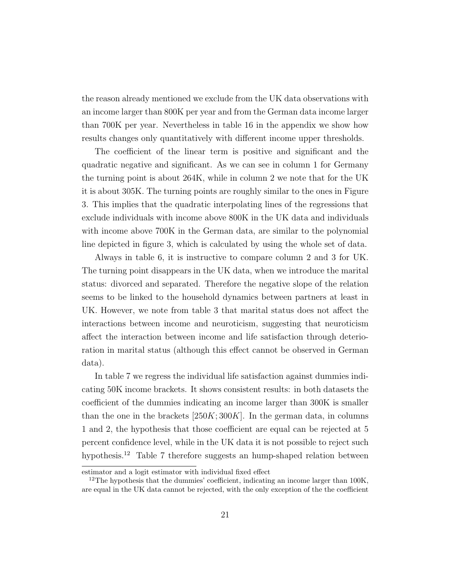the reason already mentioned we exclude from the UK data observations with an income larger than 800K per year and from the German data income larger than 700K per year. Nevertheless in table 16 in the appendix we show how results changes only quantitatively with different income upper thresholds.

The coefficient of the linear term is positive and significant and the quadratic negative and significant. As we can see in column 1 for Germany the turning point is about 264K, while in column 2 we note that for the UK it is about 305K. The turning points are roughly similar to the ones in Figure 3. This implies that the quadratic interpolating lines of the regressions that exclude individuals with income above 800K in the UK data and individuals with income above 700K in the German data, are similar to the polynomial line depicted in figure 3, which is calculated by using the whole set of data.

Always in table 6, it is instructive to compare column 2 and 3 for UK. The turning point disappears in the UK data, when we introduce the marital status: divorced and separated. Therefore the negative slope of the relation seems to be linked to the household dynamics between partners at least in UK. However, we note from table 3 that marital status does not affect the interactions between income and neuroticism, suggesting that neuroticism affect the interaction between income and life satisfaction through deterioration in marital status (although this effect cannot be observed in German data).

In table 7 we regress the individual life satisfaction against dummies indicating 50K income brackets. It shows consistent results: in both datasets the coefficient of the dummies indicating an income larger than 300K is smaller than the one in the brackets  $[250K; 300K]$ . In the german data, in columns 1 and 2, the hypothesis that those coefficient are equal can be rejected at 5 percent confidence level, while in the UK data it is not possible to reject such hypothesis.<sup>12</sup> Table 7 therefore suggests an hump-shaped relation between

estimator and a logit estimator with individual fixed effect

<sup>&</sup>lt;sup>12</sup>The hypothesis that the dummies' coefficient, indicating an income larger than  $100K$ , are equal in the UK data cannot be rejected, with the only exception of the the coefficient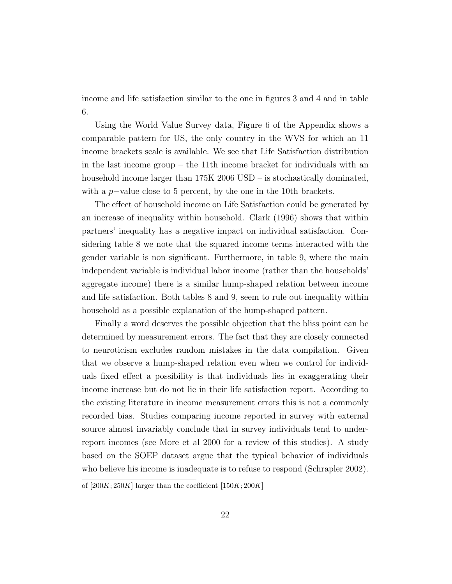income and life satisfaction similar to the one in figures 3 and 4 and in table 6.

Using the World Value Survey data, Figure 6 of the Appendix shows a comparable pattern for US, the only country in the WVS for which an 11 income brackets scale is available. We see that Life Satisfaction distribution in the last income group – the 11th income bracket for individuals with an household income larger than  $175K 2006 \text{ USD} -$  is stochastically dominated, with a p−value close to 5 percent, by the one in the 10th brackets.

The effect of household income on Life Satisfaction could be generated by an increase of inequality within household. Clark (1996) shows that within partners' inequality has a negative impact on individual satisfaction. Considering table 8 we note that the squared income terms interacted with the gender variable is non significant. Furthermore, in table 9, where the main independent variable is individual labor income (rather than the households' aggregate income) there is a similar hump-shaped relation between income and life satisfaction. Both tables 8 and 9, seem to rule out inequality within household as a possible explanation of the hump-shaped pattern.

Finally a word deserves the possible objection that the bliss point can be determined by measurement errors. The fact that they are closely connected to neuroticism excludes random mistakes in the data compilation. Given that we observe a hump-shaped relation even when we control for individuals fixed effect a possibility is that individuals lies in exaggerating their income increase but do not lie in their life satisfaction report. According to the existing literature in income measurement errors this is not a commonly recorded bias. Studies comparing income reported in survey with external source almost invariably conclude that in survey individuals tend to underreport incomes (see More et al 2000 for a review of this studies). A study based on the SOEP dataset argue that the typical behavior of individuals who believe his income is inadequate is to refuse to respond (Schrapler 2002).

of  $[200K; 250K]$  larger than the coefficient  $[150K; 200K]$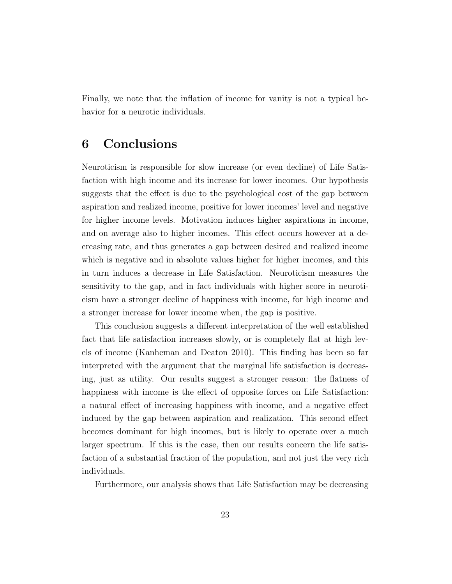Finally, we note that the inflation of income for vanity is not a typical behavior for a neurotic individuals.

### 6 Conclusions

Neuroticism is responsible for slow increase (or even decline) of Life Satisfaction with high income and its increase for lower incomes. Our hypothesis suggests that the effect is due to the psychological cost of the gap between aspiration and realized income, positive for lower incomes' level and negative for higher income levels. Motivation induces higher aspirations in income, and on average also to higher incomes. This effect occurs however at a decreasing rate, and thus generates a gap between desired and realized income which is negative and in absolute values higher for higher incomes, and this in turn induces a decrease in Life Satisfaction. Neuroticism measures the sensitivity to the gap, and in fact individuals with higher score in neuroticism have a stronger decline of happiness with income, for high income and a stronger increase for lower income when, the gap is positive.

This conclusion suggests a different interpretation of the well established fact that life satisfaction increases slowly, or is completely flat at high levels of income (Kanheman and Deaton 2010). This finding has been so far interpreted with the argument that the marginal life satisfaction is decreasing, just as utility. Our results suggest a stronger reason: the flatness of happiness with income is the effect of opposite forces on Life Satisfaction: a natural effect of increasing happiness with income, and a negative effect induced by the gap between aspiration and realization. This second effect becomes dominant for high incomes, but is likely to operate over a much larger spectrum. If this is the case, then our results concern the life satisfaction of a substantial fraction of the population, and not just the very rich individuals.

Furthermore, our analysis shows that Life Satisfaction may be decreasing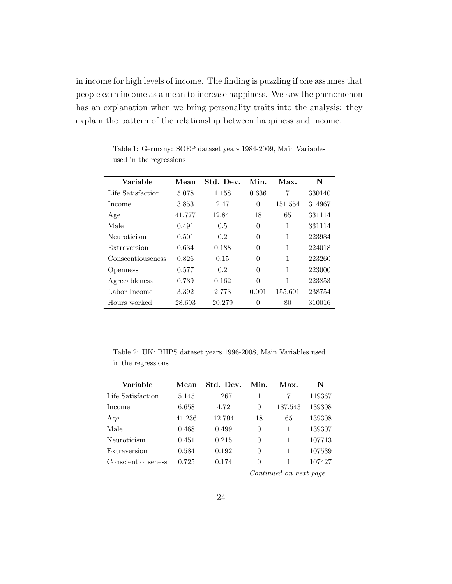in income for high levels of income. The finding is puzzling if one assumes that people earn income as a mean to increase happiness. We saw the phenomenon has an explanation when we bring personality traits into the analysis: they explain the pattern of the relationship between happiness and income.

| Variable          | Mean   | Std. Dev. | Min.     | Max.    | N      |
|-------------------|--------|-----------|----------|---------|--------|
| Life Satisfaction | 5.078  | 1.158     | 0.636    | 7       | 330140 |
| Income            | 3.853  | 2.47      | 0        | 151.554 | 314967 |
| Age               | 41.777 | 12.841    | 18       | 65      | 331114 |
| Male              | 0.491  | 0.5       | 0        | 1       | 331114 |
| Neuroticism       | 0.501  | 0.2       | $\theta$ | 1       | 223984 |
| Extraversion      | 0.634  | 0.188     | $\theta$ | 1       | 224018 |
| Conscentiouseness | 0.826  | 0.15      | $\theta$ | 1       | 223260 |
| <i>Openness</i>   | 0.577  | 0.2       | $\Omega$ | 1       | 223000 |
| Agreeableness     | 0.739  | 0.162     | $\Omega$ | 1       | 223853 |
| Labor Income      | 3.392  | 2.773     | 0.001    | 155.691 | 238754 |
| Hours worked      | 28.693 | 20.279    | 0        | 80      | 310016 |

Table 1: Germany: SOEP dataset years 1984-2009, Main Variables used in the regressions

Table 2: UK: BHPS dataset years 1996-2008, Main Variables used in the regressions

| Variable           | Mean   | Std. Dev. | Min.     | Max.    | N      |
|--------------------|--------|-----------|----------|---------|--------|
| Life Satisfaction  | 5.145  | 1.267     |          | 7       | 119367 |
| Income             | 6.658  | 4.72      | $\Omega$ | 187.543 | 139308 |
| Age                | 41.236 | 12.794    | 18       | 65      | 139308 |
| Male               | 0.468  | 0.499     | $\Omega$ |         | 139307 |
| Neuroticism        | 0.451  | 0.215     | $\theta$ | 1       | 107713 |
| Extraversion       | 0.584  | 0.192     | $\theta$ | 1       | 107539 |
| Conscientiouseness | 0.725  | 0.174     | $\Omega$ |         | 107427 |

Continued on next page...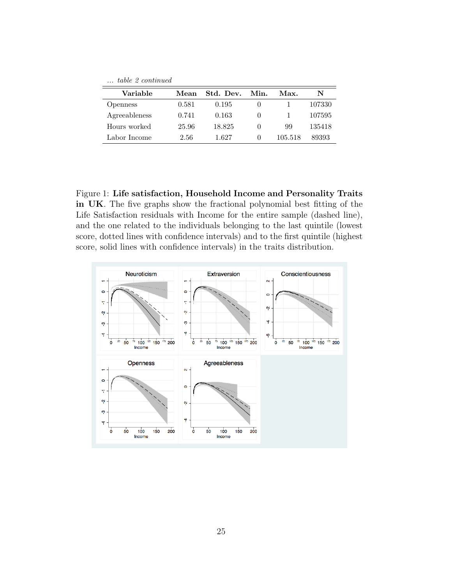| table 2 continued |       |           |                  |         |        |  |
|-------------------|-------|-----------|------------------|---------|--------|--|
| Variable          | Mean  | Std. Dev. | Min.             | Max.    | N      |  |
| <b>Openness</b>   | 0.581 | 0.195     | $\theta$         |         | 107330 |  |
| Agreeableness     | 0.741 | 0.163     | $\mathbf{0}$     |         | 107595 |  |
| Hours worked      | 25.96 | 18.825    | $\left( \right)$ | 99      | 135418 |  |
| Labor Income      | 2.56  | 1.627     | $\left( \right)$ | 105.518 | 89393  |  |

Figure 1: Life satisfaction, Household Income and Personality Traits in UK. The five graphs show the fractional polynomial best fitting of the Life Satisfaction residuals with Income for the entire sample (dashed line), and the one related to the individuals belonging to the last quintile (lowest score, dotted lines with confidence intervals) and to the first quintile (highest score, solid lines with confidence intervals) in the traits distribution.

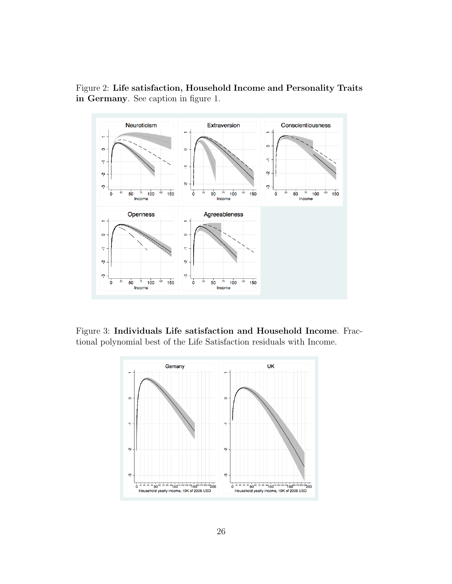Figure 2: Life satisfaction, Household Income and Personality Traits in Germany. See caption in figure 1.



Figure 3: Individuals Life satisfaction and Household Income. Fractional polynomial best of the Life Satisfaction residuals with Income.

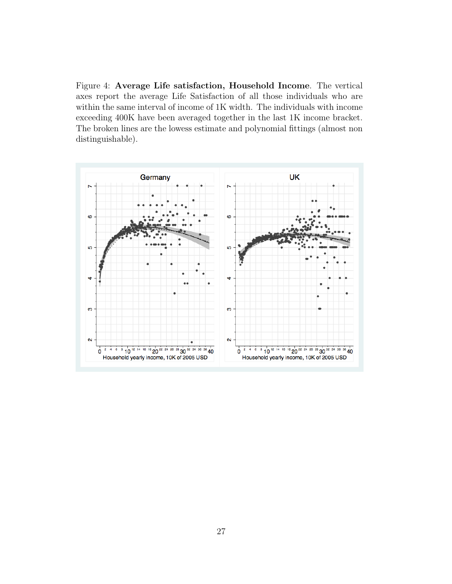Figure 4: Average Life satisfaction, Household Income. The vertical axes report the average Life Satisfaction of all those individuals who are within the same interval of income of 1K width. The individuals with income exceeding 400K have been averaged together in the last 1K income bracket. The broken lines are the lowess estimate and polynomial fittings (almost non distinguishable).

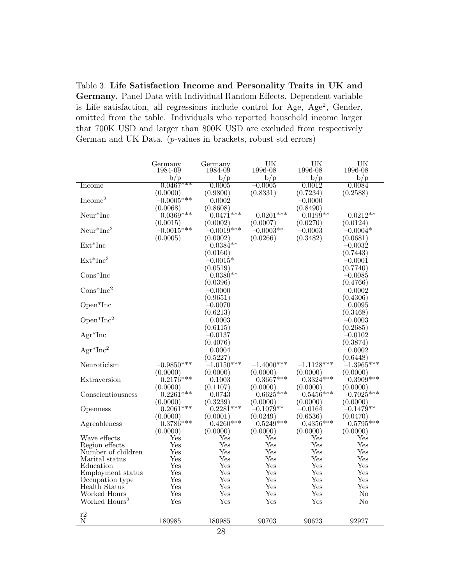Table 3: Life Satisfaction Income and Personality Traits in UK and Germany. Panel Data with Individual Random Effects. Dependent variable is Life satisfaction, all regressions include control for Age, Age<sup>2</sup>, Gender, omitted from the table. Individuals who reported household income larger that 700K USD and larger than 800K USD are excluded from respectively German and UK Data. (p-values in brackets, robust std errors)

|                                      | Germany              | Germany                              | UK                   | UK                   | UK                 |
|--------------------------------------|----------------------|--------------------------------------|----------------------|----------------------|--------------------|
|                                      | 1984-09              | 1984-09                              | 1996-08              | 1996-08              | 1996-08            |
|                                      | b/p                  | b/p                                  | b/p                  | b/p                  | b/p                |
| Income                               | $0.0467***$          | 0.0005                               | $-0.0005$            | 0.0012               | 0.0084             |
|                                      | (0.0000)             | (0.9800)                             | (0.8331)             | (0.7234)             | (0.2588)           |
| Income <sup>2</sup>                  | $-0.0005***$         | 0.0002                               |                      | $-0.0000$            |                    |
|                                      | (0.0068)             | (0.8608)                             |                      | (0.8490)             |                    |
| $Neur*Inc$                           | $0.0369***$          | $0.0471***$                          | $0.0201***$          | $0.0199**$           | $0.0212**$         |
|                                      | (0.0015)             | (0.0002)                             | (0.0007)             | (0.0270)             | (0.0124)           |
| $Neur*Inc2$                          | $-0.0015***$         | $-0.0019***$                         | $-0.0003**$          | $-0.0003$            | $-0.0004*$         |
|                                      | (0.0005)             | (0.0002)                             | (0.0266)             | (0.3482)             | (0.0681)           |
| $Ext*Inc$                            |                      | $0.0384**$                           |                      |                      | $-0.0032$          |
|                                      |                      | (0.0160)                             |                      |                      | (0.7443)           |
| $Ext*Inc2$                           |                      | $-0.0015*$                           |                      |                      | $-0.0001$          |
|                                      |                      | (0.0519)                             |                      |                      | (0.7740)           |
| $Cons*Inc$                           |                      | $0.0380**$                           |                      |                      | $-0.0085$          |
| $Cons*Inc^2$                         |                      | (0.0396)                             |                      |                      | (0.4766)           |
|                                      |                      | $-0.0000$                            |                      |                      | 0.0002             |
| Open <sup>*</sup> Inc                |                      | (0.9651)                             |                      |                      | (0.4306)           |
|                                      |                      | $-0.0070$<br>(0.6213)                |                      |                      | 0.0095<br>(0.3468) |
| $Open*Inc^2$                         |                      | 0.0003                               |                      |                      | $-0.0003$          |
|                                      |                      | (0.6115)                             |                      |                      | (0.2685)           |
| $Agr^*Inc$                           |                      | $\hbox{--}0.0137$                    |                      |                      | $-0.0102$          |
|                                      |                      | (0.4076)                             |                      |                      | (0.3874)           |
| $Agr^*Inc^2$                         |                      | 0.0004                               |                      |                      | 0.0002             |
|                                      |                      | (0.5227)                             |                      |                      | (0.6448)           |
| Neuroticism                          | $-0.9850***$         | $-1.0150***$                         | $-1.4000***$         | $-1.1128***$         | $-1.3965***$       |
|                                      | (0.0000)             | (0.0000)                             | (0.0000)             | (0.0000)             | (0.0000)           |
| Extraversion                         | $0.2176***$          | 0.1003                               | $0.3667***$          | $0.3324***$          | $0.3909***$        |
|                                      | (0.0000)             | (0.1107)                             | (0.0000)             | (0.0000)             | (0.0000)           |
| Conscientiousness                    | $0.2261***$          | 0.0743                               | $0.6625***$          | $0.5456***$          | $0.7025***$        |
|                                      | (0.0000)             | (0.3239)                             | (0.0000)             | (0.0000)             | (0.0000)           |
| Openness                             | $0.2061***$          | $0.2281***$                          | $-0.1079**$          | $-0.0164$            | $-0.1479**$        |
|                                      | (0.0000)             | (0.0001)                             | (0.0249)             | (0.6536)             | (0.0470)           |
| Agreableness                         | $0.3786***$          | $0.4260***$                          | $0.5249***$          | $0.4356***$          | $0.5795***$        |
|                                      | (0.0000)             | (0.0000)                             | (0.0000)             | (0.0000)             | (0.0000)           |
| Wave effects                         | $\operatorname{Yes}$ | $\operatorname{Yes}$                 | $\operatorname{Yes}$ | $\operatorname{Yes}$ | Yes                |
| Region effects                       | Yes                  | Yes                                  | Yes                  | Yes                  | Yes                |
| Number of children                   | Yes                  | $\operatorname{Yes}$                 | Yes                  | Yes                  | Yes                |
| Marital status                       | Yes                  | Yes                                  | Yes                  | $_{\rm Yes}$         | Yes                |
| Education                            | $_{\rm Yes}$<br>Yes  | $_{\rm Yes}$<br>$\operatorname{Yes}$ | Yes<br>Yes           | $_{\rm Yes}$<br>Yes  | Yes<br>Yes         |
| Employment status<br>Occupation type | Yes                  | Yes                                  | Yes                  | Yes                  | Yes                |
| Health Status                        | $_{\rm Yes}$         | $_{\rm Yes}$                         | Yes                  | $_{\rm Yes}$         | Yes                |
| Worked Hours                         | Yes                  | Yes                                  | Yes                  | Yes                  | No                 |
| Worked Hours <sup>2</sup>            | Yes                  | Yes                                  | Yes                  | Yes                  | N <sub>o</sub>     |
|                                      |                      |                                      |                      |                      |                    |
| r2                                   |                      |                                      |                      |                      |                    |
| $\mathbf N$                          | 180985               | 180985                               | 90703                | 90623                | 92927              |
|                                      |                      |                                      |                      |                      |                    |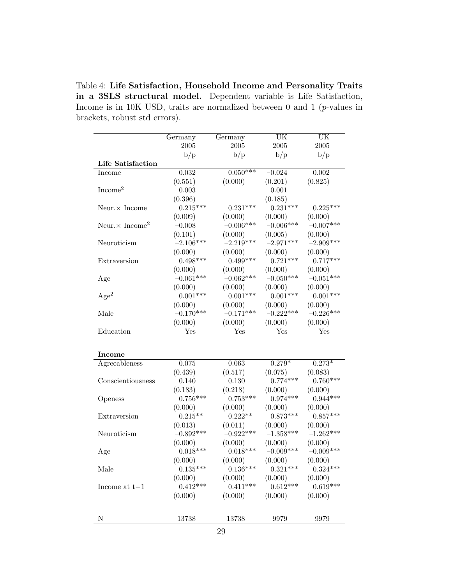Table 4: Life Satisfaction, Household Income and Personality Traits in a 3SLS structural model. Dependent variable is Life Satisfaction, Income is in 10K USD, traits are normalized between 0 and 1 ( $p$ -values in brackets, robust std errors).

|                                    | Germany     | Germany     | UK          | UK          |
|------------------------------------|-------------|-------------|-------------|-------------|
|                                    | $\,2005\,$  | 2005        | 2005        | 2005        |
|                                    | b/p         | b/p         | b/p         | b/p         |
| Life Satisfaction                  |             |             |             |             |
| Income                             | 0.032       | $0.050***$  | $-0.024$    | 0.002       |
|                                    | (0.551)     | (0.000)     | (0.201)     | (0.825)     |
| Income <sup>2</sup>                | 0.003       |             | 0.001       |             |
|                                    | (0.396)     |             | (0.185)     |             |
| Neur. $\times$ Income              | $0.215***$  | $0.231***$  | $0.231***$  | $0.225***$  |
|                                    | (0.009)     | (0.000)     | (0.000)     | (0.000)     |
| Neur. $\times$ Income <sup>2</sup> | $-0.008$    | $-0.006***$ | $-0.006***$ | $-0.007***$ |
|                                    | (0.101)     | (0.000)     | (0.005)     | (0.000)     |
| Neuroticism                        | $-2.106***$ | $-2.219***$ | $-2.971***$ | $-2.909***$ |
|                                    | (0.000)     | (0.000)     | (0.000)     | (0.000)     |
| Extraversion                       | $0.498***$  | $0.499***$  | $0.721***$  | $0.717***$  |
|                                    | (0.000)     | (0.000)     | (0.000)     | (0.000)     |
| Age                                | $-0.061***$ | $-0.062***$ | $-0.050***$ | $-0.051***$ |
|                                    | (0.000)     | (0.000)     | (0.000)     | (0.000)     |
| Age <sup>2</sup>                   | $0.001***$  | $0.001***$  | $0.001***$  | $0.001***$  |
|                                    | (0.000)     | (0.000)     | (0.000)     | (0.000)     |
| Male                               | $-0.170***$ | $-0.171***$ | $-0.222***$ | $-0.226***$ |
|                                    | (0.000)     | (0.000)     | (0.000)     | (0.000)     |
| Education                          | Yes         | Yes         | Yes         | Yes         |
|                                    |             |             |             |             |
| <b>Income</b>                      |             |             |             |             |
| Agreeableness                      | 0.075       | 0.063       | $0.279*$    | $0.273*$    |
|                                    | (0.439)     | (0.517)     | (0.075)     | (0.083)     |
| Conscientiousness                  | 0.140       | 0.130       | $0.774***$  | $0.760***$  |
|                                    | (0.183)     | (0.218)     | (0.000)     | (0.000)     |
| Openess                            | $0.756***$  | $0.753***$  | $0.974***$  | $0.944***$  |
|                                    | (0.000)     | (0.000)     | (0.000)     | (0.000)     |
| Extraversion                       | $0.215**$   | $0.222**$   | $0.873***$  | $0.857***$  |
|                                    | (0.013)     | (0.011)     | (0.000)     | (0.000)     |
| Neuroticism                        | $-0.892***$ | $-0.922***$ | $-1.358***$ | $-1.262***$ |
|                                    | (0.000)     | (0.000)     | (0.000)     | (0.000)     |
| Age                                | $0.018***$  | $0.018***$  | $-0.009***$ | $-0.009***$ |
|                                    | (0.000)     | (0.000)     | (0.000)     | (0.000)     |
| Male                               | $0.135***$  | $0.136***$  | $0.321***$  | $0.324***$  |
|                                    | (0.000)     | (0.000)     | (0.000)     | (0.000)     |
| Income at $t-1$                    | $0.412***$  | $0.411***$  | $0.612***$  | $0.619***$  |
|                                    | (0.000)     | (0.000)     | (0.000)     | (0.000)     |
|                                    |             |             |             |             |
| N                                  | 13738       | 13738       | 9979        | 9979        |
|                                    |             |             |             |             |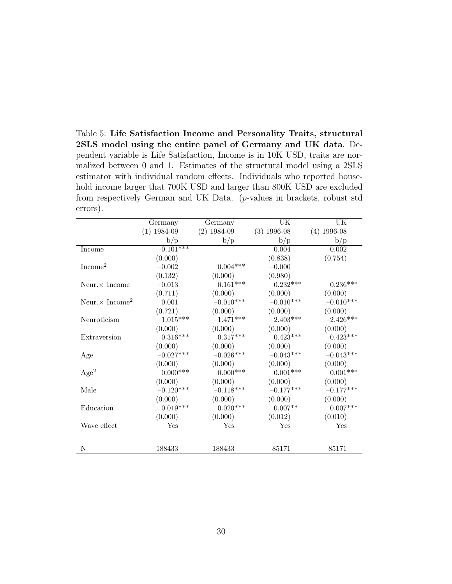Table 5: Life Satisfaction Income and Personality Traits, structural 2SLS model using the entire panel of Germany and UK data. Dependent variable is Life Satisfaction, Income is in 10K USD, traits are normalized between 0 and 1. Estimates of the structural model using a 2SLS estimator with individual random effects. Individuals who reported household income larger that 700K USD and larger than 800K USD are excluded from respectively German and UK Data. (p-values in brackets, robust std errors).

|                                    | Germany         | Germany       | UK            | UK            |
|------------------------------------|-----------------|---------------|---------------|---------------|
|                                    | $(1)$ 1984-09   | $(2)$ 1984-09 | $(3)$ 1996-08 | $(4)$ 1996-08 |
|                                    | b/p             | b/p           | b/p           | b/p           |
| Income                             | $0.101***$      |               | 0.004         | 0.002         |
|                                    | (0.000)         |               | (0.838)       | (0.754)       |
| Income <sup>2</sup>                | $-0.002$        | $0.004***$    | $-0.000$      |               |
|                                    | (0.132)         | (0.000)       | (0.980)       |               |
| Neur. $\times$ Income              | $-0.013$        | $0.161***$    | $0.232***$    | $0.236***$    |
|                                    | (0.711)         | (0.000)       | (0.000)       | (0.000)       |
| Neur. $\times$ Income <sup>2</sup> | 0.001           | $-0.010***$   | $-0.010***$   | $-0.010***$   |
|                                    | (0.721)         | (0.000)       | (0.000)       | (0.000)       |
| Neuroticism                        | $-1.015***$     | $-1.471***$   | $-2.403***$   | $-2.426***$   |
|                                    | (0.000)         | (0.000)       | (0.000)       | (0.000)       |
| Extraversion                       | $0.316***$      | $0.317***$    | $0.423***$    | $0.423***$    |
|                                    | (0.000)         | (0.000)       | (0.000)       | (0.000)       |
| Age                                | $-0.027***$     | $-0.026***$   | $-0.043***$   | $-0.043***$   |
|                                    | (0.000)         | (0.000)       | (0.000)       | (0.000)       |
| Age <sup>2</sup>                   | $0.000^{***}\;$ | $0.000***$    | $0.001***$    | $0.001***$    |
|                                    | (0.000)         | (0.000)       | (0.000)       | (0.000)       |
| Male                               | $-0.120***$     | $-0.118***$   | $-0.177***$   | $-0.177***$   |
|                                    | (0.000)         | (0.000)       | (0.000)       | (0.000)       |
| Education                          | $0.019***$      | $0.020***$    | $0.007**$     | $0.007***$    |
|                                    | (0.000)         | (0.000)       | (0.012)       | (0.010)       |
| Wave effect                        | Yes             | Yes           | Yes           | Yes           |
|                                    |                 |               |               |               |
| N                                  | 188433          | 188433        | 85171         | 85171         |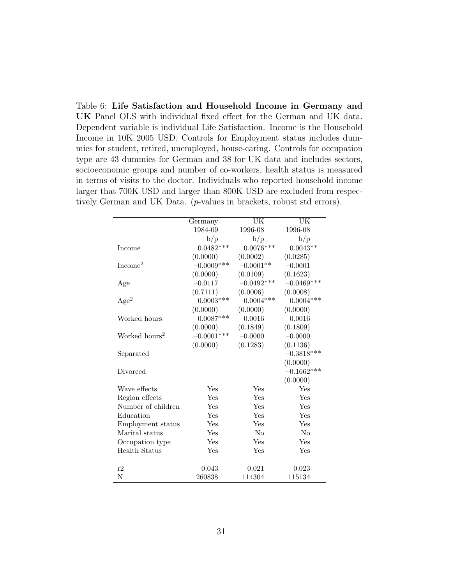Table 6: Life Satisfaction and Household Income in Germany and UK Panel OLS with individual fixed effect for the German and UK data. Dependent variable is individual Life Satisfaction. Income is the Household Income in 10K 2005 USD. Controls for Employment status includes dummies for student, retired, unemployed, house-caring. Controls for occupation type are 43 dummies for German and 38 for UK data and includes sectors, socioeconomic groups and number of co-workers, health status is measured in terms of visits to the doctor. Individuals who reported household income larger that 700K USD and larger than 800K USD are excluded from respectively German and UK Data. (p-values in brackets, robust std errors).

|                           | Germany      | UK           | UK           |
|---------------------------|--------------|--------------|--------------|
|                           | 1984-09      | 1996-08      | 1996-08      |
|                           | b/p          | b/p          | b/p          |
| Income                    | $0.0482***$  | $0.0076***$  | $0.0043**$   |
|                           | (0.0000)     | (0.0002)     | (0.0285)     |
| Income <sup>2</sup>       | $-0.0009***$ | $-0.0001**$  | $-0.0001$    |
|                           | (0.0000)     | (0.0109)     | (0.1623)     |
| Age                       | $-0.0117$    | $-0.0492***$ | $-0.0469***$ |
|                           | (0.7111)     | (0.0006)     | (0.0008)     |
| Age <sup>2</sup>          | $0.0003***$  | $0.0004***$  | $0.0004***$  |
|                           | (0.0000)     | (0.0000)     | (0.0000)     |
| Worked hours              | $0.0087***$  | 0.0016       | 0.0016       |
|                           | (0.0000)     | (0.1849)     | (0.1809)     |
| Worked hours <sup>2</sup> | $-0.0001***$ | $-0.0000$    | $-0.0000$    |
|                           | (0.0000)     | (0.1283)     | (0.1136)     |
| Separated                 |              |              | $-0.3818***$ |
|                           |              |              | (0.0000)     |
| Divorced                  |              |              | $-0.1662***$ |
|                           |              |              | (0.0000)     |
| Wave effects              | Yes          | Yes          | Yes          |
| Region effects            | Yes          | Yes          | Yes          |
| Number of children        | Yes          | Yes          | Yes          |
| Education                 | Yes          | Yes          | Yes          |
| Employment status         | Yes          | Yes          | Yes          |
| Marital status            | Yes          | No           | No           |
| Occupation type           | Yes          | Yes          | Yes          |
| <b>Health Status</b>      | Yes          | Yes          | Yes          |
|                           |              |              |              |
| r2                        | 0.043        | 0.021        | 0.023        |
| N                         | 260838       | 114304       | 115134       |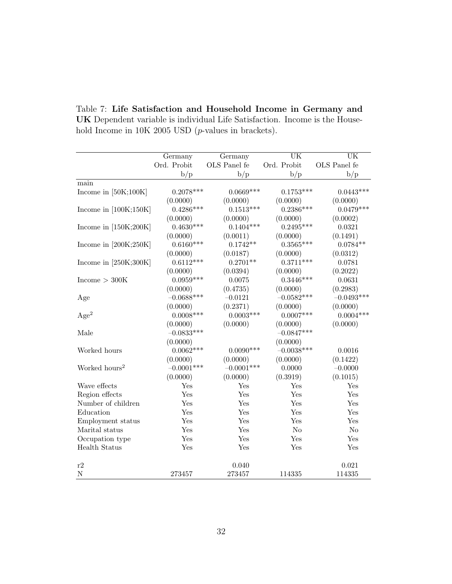|                           | Germany      | Germany      | UK             | $\overline{\text{UK}}$ |
|---------------------------|--------------|--------------|----------------|------------------------|
|                           | Ord. Probit  | OLS Panel fe | Ord. Probit    | OLS Panel fe           |
|                           | b/p          | b/p          | b/p            | b/p                    |
| main                      |              |              |                |                        |
| Income in $[50K;100K]$    | $0.2078***$  | $0.0669***$  | $0.1753***$    | $0.0443***$            |
|                           | (0.0000)     | (0.0000)     | (0.0000)       | (0.0000)               |
| Income in $[100K;150K]$   | $0.4286***$  | $0.1513***$  | $0.2386***$    | $0.0479***$            |
|                           | (0.0000)     | (0.0000)     | (0.0000)       | (0.0002)               |
| Income in $[150K;200K]$   | $0.4630***$  | $0.1404***$  | $0.2495***$    | 0.0321                 |
|                           | (0.0000)     | (0.0011)     | (0.0000)       | (0.1491)               |
| Income in $[200K;250K]$   | $0.6160***$  | $0.1742**$   | $0.3565***$    | $0.0784**$             |
|                           | (0.0000)     | (0.0187)     | (0.0000)       | (0.0312)               |
| Income in $[250K;300K]$   | $0.6112***$  | $0.2701**$   | $0.3711***$    | 0.0781                 |
|                           | (0.0000)     | (0.0394)     | (0.0000)       | (0.2022)               |
| Income > 300K             | $0.0959***$  | 0.0075       | $0.3446***$    | 0.0631                 |
|                           | (0.0000)     | (0.4735)     | (0.0000)       | (0.2983)               |
| Age                       | $-0.0688***$ | $-0.0121$    | $-0.0582***$   | $-0.0493***$           |
|                           | (0.0000)     | (0.2371)     | (0.0000)       | (0.0000)               |
| Age <sup>2</sup>          | $0.0008***$  | $0.0003***$  | $0.0007***$    | $0.0004***$            |
|                           | (0.0000)     | (0.0000)     | (0.0000)       | (0.0000)               |
| Male                      | $-0.0833***$ |              | $-0.0847***$   |                        |
|                           | (0.0000)     |              | (0.0000)       |                        |
| Worked hours              | $0.0062***$  | $0.0090***$  | $-0.0038***$   | 0.0016                 |
|                           | (0.0000)     | (0.0000)     | (0.0000)       | (0.1422)               |
| Worked hours <sup>2</sup> | $-0.0001***$ | $-0.0001***$ | 0.0000         | $-0.0000$              |
|                           | (0.0000)     | (0.0000)     | (0.3919)       | (0.1015)               |
| Wave effects              | Yes          | Yes          | Yes            | Yes                    |
| Region effects            | Yes          | Yes          | Yes            | Yes                    |
| Number of children        | Yes          | Yes          | Yes            | Yes                    |
| Education                 | Yes          | Yes          | Yes            | Yes                    |
| Employment status         | Yes          | Yes          | Yes            | Yes                    |
| Marital status            | Yes          | Yes          | N <sub>o</sub> | N <sub>o</sub>         |
| Occupation type           | Yes          | Yes          | Yes            | Yes                    |
| <b>Health Status</b>      | Yes          | Yes          | Yes            | Yes                    |
| r2                        |              | 0.040        |                | 0.021                  |
| ${\bf N}$                 | 273457       | 273457       | 114335         | 114335                 |

Table 7: Life Satisfaction and Household Income in Germany and UK Dependent variable is individual Life Satisfaction. Income is the Household Income in 10K 2005 USD (p-values in brackets).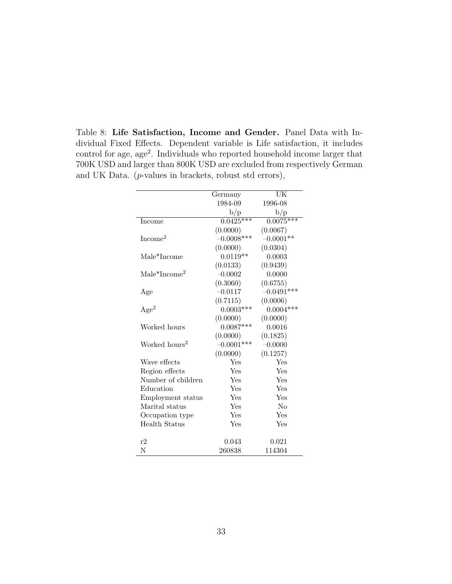Table 8: Life Satisfaction, Income and Gender. Panel Data with Individual Fixed Effects. Dependent variable is Life satisfaction, it includes control for age, age<sup>2</sup>. Individuals who reported household income larger that 700K USD and larger than 800K USD are excluded from respectively German and UK Data. (p-values in brackets, robust std errors),

|                                    | Germany      | UK           |
|------------------------------------|--------------|--------------|
|                                    | 1984-09      | 1996-08      |
|                                    | b/p          | b/p          |
| Income                             | $0.0425***$  | $0.0075***$  |
|                                    | (0.0000)     | (0.0067)     |
| Income <sup>2</sup>                | $-0.0008***$ | $-0.0001**$  |
|                                    | (0.0000)     | (0.0304)     |
| Male*Income                        | $0.0119**$   | 0.0003       |
|                                    | (0.0133)     | (0.9439)     |
| $\text{Male*}$ Income <sup>2</sup> | $-0.0002$    | 0.0000       |
|                                    | (0.3060)     | (0.6755)     |
| Age                                | $-0.0117$    | $-0.0491***$ |
|                                    | (0.7115)     | (0.0006)     |
| Age <sup>2</sup>                   | $0.0003***$  | $0.0004***$  |
|                                    | (0.0000)     | (0.0000)     |
| Worked hours                       | $0.0087***$  | 0.0016       |
|                                    | (0.0000)     | (0.1825)     |
| Worked hours <sup>2</sup>          | $-0.0001***$ | $-0.0000$    |
|                                    | (0.0000)     | (0.1257)     |
| Wave effects                       | Yes          | Yes          |
| Region effects                     | Yes          | Yes          |
| Number of children                 | Yes          | Yes          |
| Education                          | Yes          | Yes          |
| Employment status                  | Yes          | Yes          |
| Marital status                     | Yes          | $\rm No$     |
| Occupation type                    | Yes          | Yes          |
| <b>Health Status</b>               | Yes          | Yes          |
|                                    |              |              |
| r2                                 | 0.043        | 0.021        |
| N                                  | 260838       | 114304       |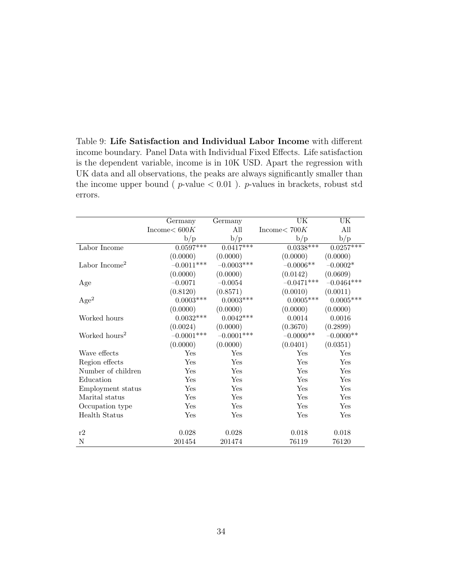Table 9: Life Satisfaction and Individual Labor Income with different income boundary. Panel Data with Individual Fixed Effects. Life satisfaction is the dependent variable, income is in 10K USD. Apart the regression with UK data and all observations, the peaks are always significantly smaller than the income upper bound ( $p$ -value  $< 0.01$ ).  $p$ -values in brackets, robust std errors.

|                           | Germany           | Germany      | $\overline{\text{UK}}$ | UK           |
|---------------------------|-------------------|--------------|------------------------|--------------|
|                           | Income<br>$<600K$ | All          | Income $< 700K$        | All          |
|                           | b/p               | b/p          | b/p                    | b/p          |
| Labor Income              | $0.0597***$       | $0.0417***$  | $0.0338***$            | $0.0257***$  |
|                           | (0.0000)          | (0.0000)     | (0.0000)               | (0.0000)     |
| Labor Income <sup>2</sup> | $-0.0011***$      | $-0.0003***$ | $-0.0006**$            | $-0.0002*$   |
|                           | (0.0000)          | (0.0000)     | (0.0142)               | (0.0609)     |
| Age                       | $-0.0071$         | $-0.0054$    | $-0.0471***$           | $-0.0464***$ |
|                           | (0.8120)          | (0.8571)     | (0.0010)               | (0.0011)     |
| Age <sup>2</sup>          | $0.0003***$       | $0.0003***$  | $0.0005***$            | $0.0005***$  |
|                           | (0.0000)          | (0.0000)     | (0.0000)               | (0.0000)     |
| Worked hours              | $0.0032***$       | $0.0042***$  | 0.0014                 | 0.0016       |
|                           | (0.0024)          | (0.0000)     | (0.3670)               | (0.2899)     |
| Worked hours <sup>2</sup> | $-0.0001***$      | $-0.0001***$ | $-0.0000**$            | $-0.0000**$  |
|                           | (0.0000)          | (0.0000)     | (0.0401)               | (0.0351)     |
| Wave effects              | Yes               | Yes          | Yes                    | Yes          |
| Region effects            | Yes               | Yes          | Yes                    | Yes          |
| Number of children        | Yes               | Yes          | Yes                    | Yes          |
| Education                 | Yes               | Yes          | Yes                    | Yes          |
| Employment status         | Yes               | Yes          | Yes                    | Yes          |
| Marital status            | Yes               | Yes          | Yes                    | Yes          |
| Occupation type           | Yes               | Yes          | Yes                    | Yes          |
| <b>Health Status</b>      | Yes               | Yes          | Yes                    | Yes          |
|                           |                   |              |                        |              |
| r2                        | 0.028             | 0.028        | 0.018                  | 0.018        |
| $\mathbf N$               | 201454            | 201474       | 76119                  | 76120        |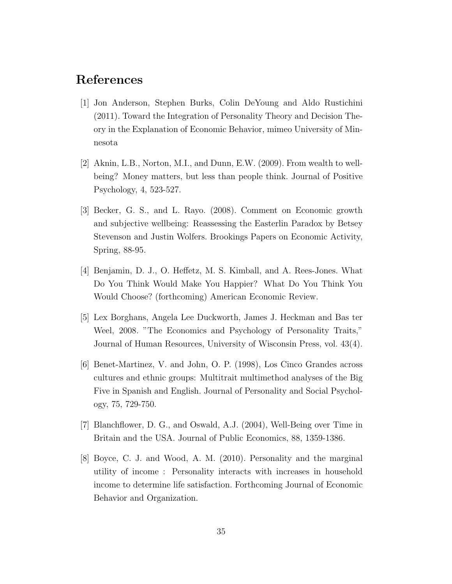### References

- [1] Jon Anderson, Stephen Burks, Colin DeYoung and Aldo Rustichini (2011). Toward the Integration of Personality Theory and Decision Theory in the Explanation of Economic Behavior, mimeo University of Minnesota
- [2] Aknin, L.B., Norton, M.I., and Dunn, E.W. (2009). From wealth to wellbeing? Money matters, but less than people think. Journal of Positive Psychology, 4, 523-527.
- [3] Becker, G. S., and L. Rayo. (2008). Comment on Economic growth and subjective wellbeing: Reassessing the Easterlin Paradox by Betsey Stevenson and Justin Wolfers. Brookings Papers on Economic Activity, Spring, 88-95.
- [4] Benjamin, D. J., O. Heffetz, M. S. Kimball, and A. Rees-Jones. What Do You Think Would Make You Happier? What Do You Think You Would Choose? (forthcoming) American Economic Review.
- [5] Lex Borghans, Angela Lee Duckworth, James J. Heckman and Bas ter Weel, 2008. "The Economics and Psychology of Personality Traits," Journal of Human Resources, University of Wisconsin Press, vol. 43(4).
- [6] Benet-Martinez, V. and John, O. P. (1998), Los Cinco Grandes across cultures and ethnic groups: Multitrait multimethod analyses of the Big Five in Spanish and English. Journal of Personality and Social Psychology, 75, 729-750.
- [7] Blanchflower, D. G., and Oswald, A.J. (2004), Well-Being over Time in Britain and the USA. Journal of Public Economics, 88, 1359-1386.
- [8] Boyce, C. J. and Wood, A. M. (2010). Personality and the marginal utility of income : Personality interacts with increases in household income to determine life satisfaction. Forthcoming Journal of Economic Behavior and Organization.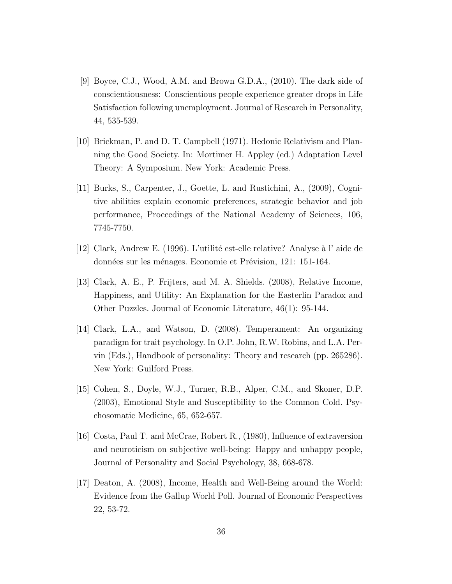- [9] Boyce, C.J., Wood, A.M. and Brown G.D.A., (2010). The dark side of conscientiousness: Conscientious people experience greater drops in Life Satisfaction following unemployment. Journal of Research in Personality, 44, 535-539.
- [10] Brickman, P. and D. T. Campbell (1971). Hedonic Relativism and Planning the Good Society. In: Mortimer H. Appley (ed.) Adaptation Level Theory: A Symposium. New York: Academic Press.
- [11] Burks, S., Carpenter, J., Goette, L. and Rustichini, A., (2009), Cognitive abilities explain economic preferences, strategic behavior and job performance, Proceedings of the National Academy of Sciences, 106, 7745-7750.
- [12] Clark, Andrew E. (1996). L'utilit´e est-elle relative? Analyse `a l' aide de données sur les ménages. Economie et Prévision, 121: 151-164.
- [13] Clark, A. E., P. Frijters, and M. A. Shields. (2008), Relative Income, Happiness, and Utility: An Explanation for the Easterlin Paradox and Other Puzzles. Journal of Economic Literature, 46(1): 95-144.
- [14] Clark, L.A., and Watson, D. (2008). Temperament: An organizing paradigm for trait psychology. In O.P. John, R.W. Robins, and L.A. Pervin (Eds.), Handbook of personality: Theory and research (pp. 265286). New York: Guilford Press.
- [15] Cohen, S., Doyle, W.J., Turner, R.B., Alper, C.M., and Skoner, D.P. (2003), Emotional Style and Susceptibility to the Common Cold. Psychosomatic Medicine, 65, 652-657.
- [16] Costa, Paul T. and McCrae, Robert R., (1980), Influence of extraversion and neuroticism on subjective well-being: Happy and unhappy people, Journal of Personality and Social Psychology, 38, 668-678.
- [17] Deaton, A. (2008), Income, Health and Well-Being around the World: Evidence from the Gallup World Poll. Journal of Economic Perspectives 22, 53-72.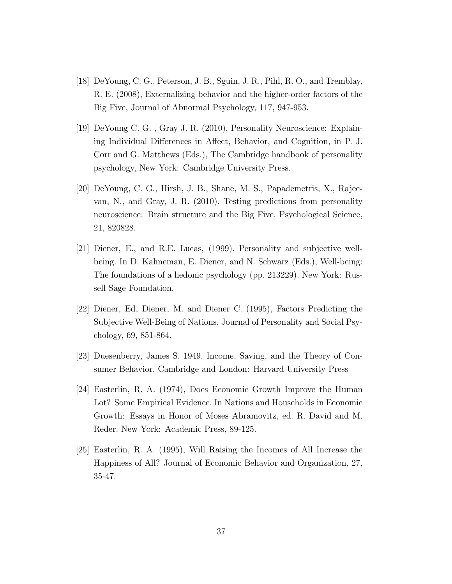- [18] DeYoung, C. G., Peterson, J. B., Sguin, J. R., Pihl, R. O., and Tremblay, R. E. (2008), Externalizing behavior and the higher-order factors of the Big Five, Journal of Abnormal Psychology, 117, 947-953.
- [19] DeYoung C. G. , Gray J. R. (2010), Personality Neuroscience: Explaining Individual Differences in Affect, Behavior, and Cognition, in P. J. Corr and G. Matthews (Eds.), The Cambridge handbook of personality psychology, New York: Cambridge University Press.
- [20] DeYoung, C. G., Hirsh, J. B., Shane, M. S., Papademetris, X., Rajeevan, N., and Gray, J. R. (2010). Testing predictions from personality neuroscience: Brain structure and the Big Five. Psychological Science, 21, 820828.
- [21] Diener, E., and R.E. Lucas, (1999). Personality and subjective wellbeing. In D. Kahneman, E. Diener, and N. Schwarz (Eds.), Well-being: The foundations of a hedonic psychology (pp. 213229). New York: Russell Sage Foundation.
- [22] Diener, Ed, Diener, M. and Diener C. (1995), Factors Predicting the Subjective Well-Being of Nations. Journal of Personality and Social Psychology, 69, 851-864.
- [23] Duesenberry, James S. 1949. Income, Saving, and the Theory of Consumer Behavior. Cambridge and London: Harvard University Press
- [24] Easterlin, R. A. (1974), Does Economic Growth Improve the Human Lot? Some Empirical Evidence. In Nations and Households in Economic Growth: Essays in Honor of Moses Abramovitz, ed. R. David and M. Reder. New York: Academic Press, 89-125.
- [25] Easterlin, R. A. (1995), Will Raising the Incomes of All Increase the Happiness of All? Journal of Economic Behavior and Organization, 27, 35-47.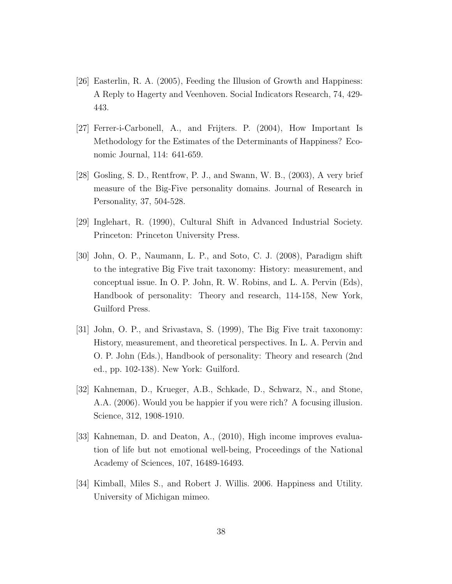- [26] Easterlin, R. A. (2005), Feeding the Illusion of Growth and Happiness: A Reply to Hagerty and Veenhoven. Social Indicators Research, 74, 429- 443.
- [27] Ferrer-i-Carbonell, A., and Frijters. P. (2004), How Important Is Methodology for the Estimates of the Determinants of Happiness? Economic Journal, 114: 641-659.
- [28] Gosling, S. D., Rentfrow, P. J., and Swann, W. B., (2003), A very brief measure of the Big-Five personality domains. Journal of Research in Personality, 37, 504-528.
- [29] Inglehart, R. (1990), Cultural Shift in Advanced Industrial Society. Princeton: Princeton University Press.
- [30] John, O. P., Naumann, L. P., and Soto, C. J. (2008), Paradigm shift to the integrative Big Five trait taxonomy: History: measurement, and conceptual issue. In O. P. John, R. W. Robins, and L. A. Pervin (Eds), Handbook of personality: Theory and research, 114-158, New York, Guilford Press.
- [31] John, O. P., and Srivastava, S. (1999), The Big Five trait taxonomy: History, measurement, and theoretical perspectives. In L. A. Pervin and O. P. John (Eds.), Handbook of personality: Theory and research (2nd ed., pp. 102-138). New York: Guilford.
- [32] Kahneman, D., Krueger, A.B., Schkade, D., Schwarz, N., and Stone, A.A. (2006). Would you be happier if you were rich? A focusing illusion. Science, 312, 1908-1910.
- [33] Kahneman, D. and Deaton, A., (2010), High income improves evaluation of life but not emotional well-being, Proceedings of the National Academy of Sciences, 107, 16489-16493.
- [34] Kimball, Miles S., and Robert J. Willis. 2006. Happiness and Utility. University of Michigan mimeo.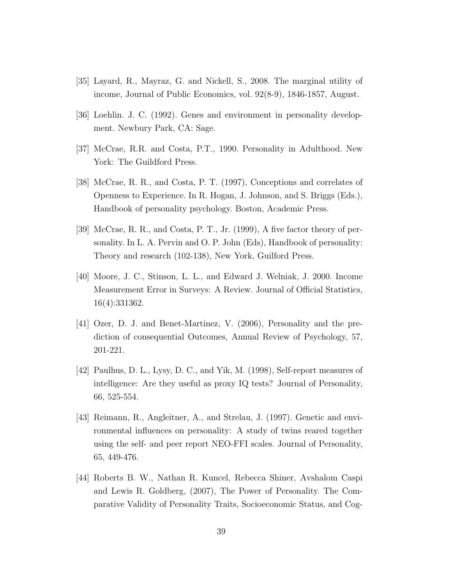- [35] Layard, R., Mayraz, G. and Nickell, S., 2008. The marginal utility of income, Journal of Public Economics, vol. 92(8-9), 1846-1857, August.
- [36] Loehlin. J. C. (1992). Genes and environment in personality development. Newbury Park, CA: Sage.
- [37] McCrae, R.R. and Costa, P.T., 1990. Personality in Adulthood. New York: The Guildford Press.
- [38] McCrae, R. R., and Costa, P. T. (1997), Conceptions and correlates of Openness to Experience. In R. Hogan, J. Johnson, and S. Briggs (Eds.), Handbook of personality psychology. Boston, Academic Press.
- [39] McCrae, R. R., and Costa, P. T., Jr. (1999), A five factor theory of personality. In L. A. Pervin and O. P. John (Eds), Handbook of personality: Theory and research (102-138), New York, Guilford Press.
- [40] Moore, J. C., Stinson, L. L., and Edward J. Welniak, J. 2000. Income Measurement Error in Surveys: A Review. Journal of Official Statistics, 16(4):331362.
- [41] Ozer, D. J. and Benet-Martinez, V. (2006), Personality and the prediction of consequential Outcomes, Annual Review of Psychology, 57, 201-221.
- [42] Paulhus, D. L., Lysy, D. C., and Yik, M. (1998), Self-report measures of intelligence: Are they useful as proxy IQ tests? Journal of Personality, 66, 525-554.
- [43] Reimann, R., Angleitner, A., and Strelau, J. (1997). Genetic and environmental influences on personality: A study of twins reared together using the self- and peer report NEO-FFI scales. Journal of Personality, 65, 449-476.
- [44] Roberts B. W., Nathan R. Kuncel, Rebecca Shiner, Avshalom Caspi and Lewis R. Goldberg, (2007), The Power of Personality. The Comparative Validity of Personality Traits, Socioeconomic Status, and Cog-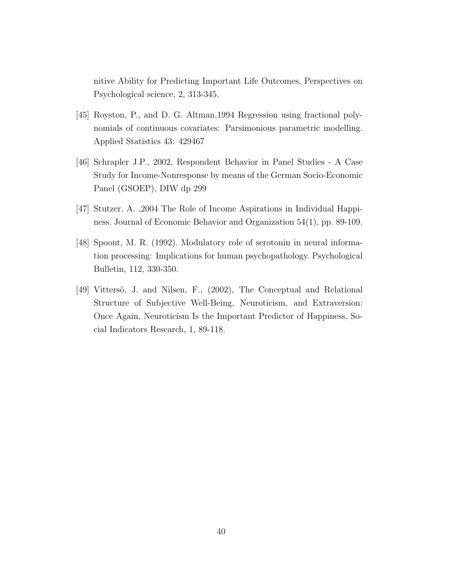nitive Ability for Predicting Important Life Outcomes, Perspectives on Psychological science, 2, 313-345.

- [45] Royston, P., and D. G. Altman,1994 Regression using fractional polynomials of continuous covariates: Parsimonious parametric modelling. Applied Statistics 43: 429467
- [46] Schrapler J.P., 2002, Respondent Behavior in Panel Studies A Case Study for Income-Nonresponse by means of the German Socio-Economic Panel (GSOEP), DIW dp 299
- [47] Stutzer, A. ,2004 The Role of Income Aspirations in Individual Happiness. Journal of Economic Behavior and Organization 54(1), pp. 89-109.
- [48] Spoont, M. R. (1992). Modulatory role of serotonin in neural information processing: Implications for human psychopathology. Psychological Bulletin, 112, 330-350.
- [49] Vittersö, J. and Nilsen, F., (2002), The Conceptual and Relational Structure of Subjective Well-Being, Neuroticism, and Extraversion: Once Again, Neuroticism Is the Important Predictor of Happiness, Social Indicators Research, 1, 89-118.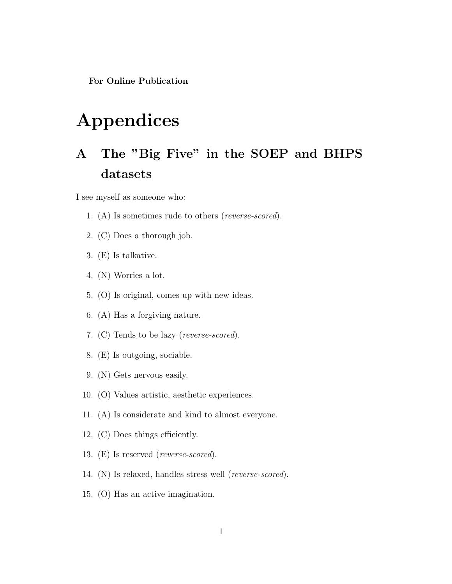For Online Publication

# Appendices

## A The "Big Five" in the SOEP and BHPS datasets

I see myself as someone who:

- 1. (A) Is sometimes rude to others (reverse-scored).
- 2. (C) Does a thorough job.
- 3. (E) Is talkative.
- 4. (N) Worries a lot.
- 5. (O) Is original, comes up with new ideas.
- 6. (A) Has a forgiving nature.
- 7. (C) Tends to be lazy (reverse-scored).
- 8. (E) Is outgoing, sociable.
- 9. (N) Gets nervous easily.
- 10. (O) Values artistic, aesthetic experiences.
- 11. (A) Is considerate and kind to almost everyone.
- 12. (C) Does things efficiently.
- 13. (E) Is reserved (reverse-scored).
- 14. (N) Is relaxed, handles stress well (reverse-scored).
- 15. (O) Has an active imagination.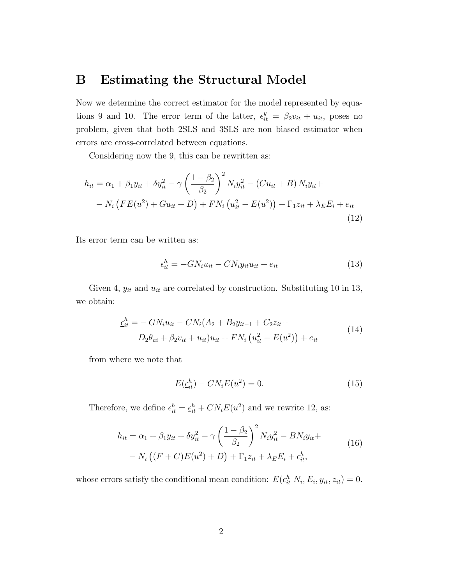### B Estimating the Structural Model

Now we determine the correct estimator for the model represented by equations 9 and 10. The error term of the latter,  $\epsilon_{it}^y = \beta_2 v_{it} + u_{it}$ , poses no problem, given that both 2SLS and 3SLS are non biased estimator when errors are cross-correlated between equations.

Considering now the 9, this can be rewritten as:

$$
h_{it} = \alpha_1 + \beta_1 y_{it} + \delta y_{it}^2 - \gamma \left(\frac{1 - \beta_2}{\beta_2}\right)^2 N_i y_{it}^2 - (Cu_{it} + B) N_i y_{it} +
$$
  
-  $N_i \left( FE(u^2) + Gu_{it} + D \right) + FN_i \left(u_{it}^2 - E(u^2) \right) + \Gamma_1 z_{it} + \lambda_E E_i + e_{it}$  (12)

Its error term can be written as:

$$
\underline{\epsilon}_{it}^{h} = -GN_i u_{it} - CN_i y_{it} u_{it} + e_{it} \tag{13}
$$

Given 4,  $y_{it}$  and  $u_{it}$  are correlated by construction. Substituting 10 in 13, we obtain:

$$
\underline{\epsilon}_{it}^{h} = -\ GN_{i}u_{it} - CN_{i}(A_{2} + B_{2}y_{it-1} + C_{2}z_{it} + D_{2}\theta_{ai} + \beta_{2}v_{it} + u_{it})u_{it} + FN_{i}\left(u_{it}^{2} - E(u^{2})\right) + e_{it}
$$
\n(14)

from where we note that

$$
E(\underline{\epsilon}_{it}^h) - CN_i E(u^2) = 0.
$$
\n<sup>(15)</sup>

Therefore, we define  $\epsilon_{it}^h = \underline{\epsilon_{it}}^h + CN_iE(u^2)$  and we rewrite 12, as:

$$
h_{it} = \alpha_1 + \beta_1 y_{it} + \delta y_{it}^2 - \gamma \left(\frac{1 - \beta_2}{\beta_2}\right)^2 N_i y_{it}^2 - B N_i y_{it} +
$$
  
-  $N_i \left((F + C)E(u^2) + D\right) + \Gamma_1 z_{it} + \lambda_E E_i + \epsilon_{it}^h,$  (16)

whose errors satisfy the conditional mean condition:  $E(\epsilon_{it}^h|N_i, E_i, y_{it}, z_{it}) = 0$ .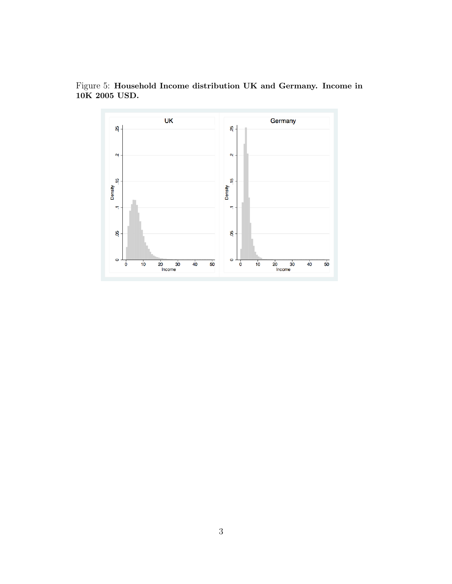

Figure 5: Household Income distribution UK and Germany. Income in 10K 2005 USD.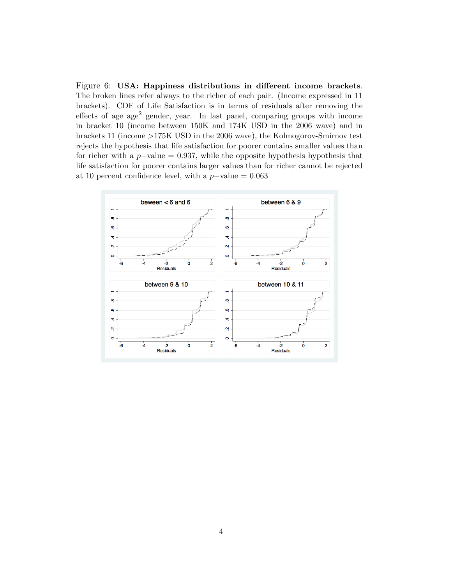Figure 6: USA: Happiness distributions in different income brackets. The broken lines refer always to the richer of each pair. (Income expressed in 11 brackets). CDF of Life Satisfaction is in terms of residuals after removing the effects of age age<sup>2</sup> gender, year. In last panel, comparing groups with income in bracket 10 (income between 150K and 174K USD in the 2006 wave) and in brackets 11 (income >175K USD in the 2006 wave), the Kolmogorov-Smirnov test rejects the hypothesis that life satisfaction for poorer contains smaller values than for richer with a  $p$ -value = 0.937, while the opposite hypothesis hypothesis that life satisfaction for poorer contains larger values than for richer cannot be rejected at 10 percent confidence level, with a  $p$ -value = 0.063

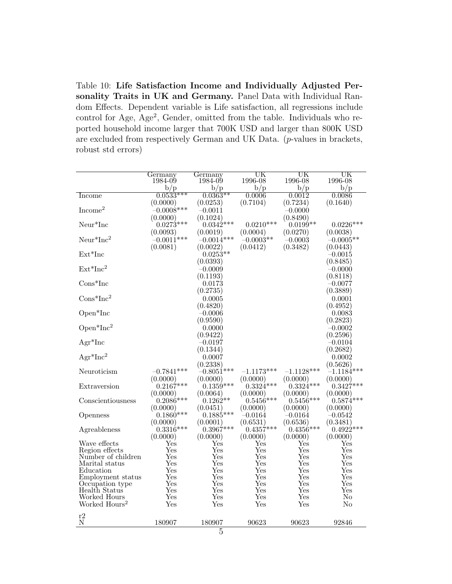Table 10: Life Satisfaction Income and Individually Adjusted Personality Traits in UK and Germany. Panel Data with Individual Random Effects. Dependent variable is Life satisfaction, all regressions include control for Age, Age<sup>2</sup>, Gender, omitted from the table. Individuals who reported household income larger that 700K USD and larger than 800K USD are excluded from respectively German and UK Data. (p-values in brackets, robust std errors)

|                             | Germany        | Germany              | $\mathrm{UK}$  | UK                   | UK                   |
|-----------------------------|----------------|----------------------|----------------|----------------------|----------------------|
|                             | 1984-09<br>b/p | 1984-09<br>b/p       | 1996-08<br>b/p | 1996-08<br>b/p       | 1996-08<br>b/p       |
| Income                      | $0.0533***$    | $0.0363**$           | 0.0006         | 0.0012               | 0.0086               |
|                             | (0.0000)       | (0.0253)             | (0.7104)       | (0.7234)             | (0.1640)             |
| Income <sup>2</sup>         | $-0.0008$ ***  | $-0.0011$            |                | $-0.0000$            |                      |
|                             | (0.0000)       | (0.1024)             |                | (0.8490)             |                      |
| ${\rm Neur}^*{\rm Inc}$     | $0.0273***$    | $0.0342***$          | $0.0210***$    | $0.0199**$           | $0.0226***$          |
|                             | (0.0093)       | (0.0019)             | (0.0004)       | (0.0270)             | (0.0038)             |
| $Neur*Inc2$                 | $-0.0011***$   | $-0.0014***$         | $-0.0003**$    | $-0.0003$            | $-0.0005**$          |
|                             | (0.0081)       | (0.0022)             | (0.0412)       | (0.3482)             | (0.0443)             |
| $Ext*Inc$                   |                | $0.0253**$           |                |                      | $-0.0015$            |
|                             |                | (0.0393)             |                |                      | (0.8485)             |
| $Ext*Inc2$                  |                | $-0.0009$            |                |                      | $-0.0000$            |
|                             |                | (0.1193)             |                |                      | (0.8118)             |
| $Cons*Inc$                  |                | 0.0173               |                |                      | $-0.0077$            |
|                             |                | (0.2735)             |                |                      | (0.3889)             |
| $Cons*Inc^2$                |                | 0.0005               |                |                      | 0.0001               |
|                             |                | (0.4820)             |                |                      | (0.4952)             |
| Open <sup>*</sup> Inc       |                | $-0.0006$            |                |                      | 0.0083               |
|                             |                | (0.9590)             |                |                      | (0.2823)             |
| $Open*Inc^2$                |                | 0.0000               |                |                      | $-0.0002$            |
|                             |                | (0.9422)             |                |                      | (0.2596)             |
| $Agr^*Inc$                  |                | $\!-0.0197$          |                |                      | $-0.0104$            |
|                             |                | (0.1344)             |                |                      | (0.2682)             |
| $Agr^*Inc^2$                |                | 0.0007               |                |                      | 0.0002               |
|                             |                | (0.2338)             |                |                      | (0.5626)             |
| Neuroticism                 | $-0.7841***$   | $-0.8051***$         | $-1.1173***$   | $-1.1128***$         | $-1.1184***$         |
|                             | (0.0000)       | (0.0000)             | (0.0000)       | (0.0000)             | (0.0000)             |
| Extraversion                | $0.2167***$    | $0.1359***$          | $0.3324***$    | $0.3324***$          | $0.3427***$          |
|                             | (0.0000)       | (0.0064)             | (0.0000)       | (0.0000)             | (0.0000)             |
| Conscientiousness           | $0.2086***$    | $0.1262**$           | $0.5456***$    | $0.5456***$          | $0.5874***$          |
|                             | (0.0000)       | (0.0451)             | (0.0000)       | (0.0000)             | (0.0000)             |
| Openness                    | $0.1860***$    | $0.1885***$          | $-0.0164$      | $-0.0164$            | $-0.0542$            |
|                             | (0.0000)       | (0.0001)             | (0.6531)       | (0.6536)             | (0.3481)             |
| Agreableness                | $0.3316***$    | $0.3967***$          | $0.4357***$    | $0.4356***$          | $0.4922***$          |
|                             | (0.0000)       | (0.0000)             | (0.0000)       | (0.0000)             | (0.0000)             |
| Wave effects                | Yes            | Yes                  | Yes            | Yes                  | $\operatorname{Yes}$ |
| Region effects              | Yes            | Yes                  | Yes            | Yes                  | Yes                  |
| Number of children          | $_{\rm Yes}$   | Yes                  | Yes            | $_{\rm Yes}$         | Yes                  |
| Marital status<br>Education | Yes<br>Yes     | Yes<br>Yes           | Yes<br>Yes     | Yes<br>Yes           | Yes<br>Yes           |
| Employment status           | Yes            | Yes                  | Yes            | Yes                  | Yes                  |
| Occupation type             | $_{\rm Yes}$   | Yes                  | Yes            | Yes                  | Yes                  |
| Health Status               | Yes            | Yes                  | Yes            | Yes                  | Yes                  |
| Worked Hours                | Yes            | $\operatorname{Yes}$ | $_{\rm Yes}$   | $\operatorname{Yes}$ | No                   |
| Worked Hours <sup>2</sup>   | Yes            | Yes                  | Yes            | Yes                  | No                   |
|                             |                |                      |                |                      |                      |
| r2<br>${\bf N}$             |                | 180907               | 90623          | 90623                | 92846                |
|                             | 180907         |                      |                |                      |                      |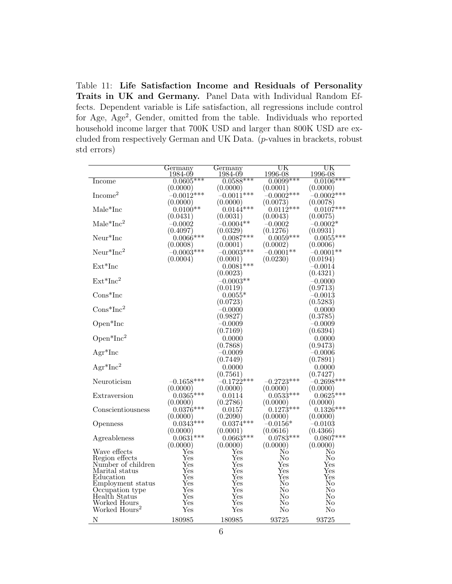Table 11: Life Satisfaction Income and Residuals of Personality Traits in UK and Germany. Panel Data with Individual Random Effects. Dependent variable is Life satisfaction, all regressions include control for Age, Age<sup>2</sup> , Gender, omitted from the table. Individuals who reported household income larger that 700K USD and larger than 800K USD are excluded from respectively German and UK Data. (p-values in brackets, robust std errors)

| $0.0605***$<br>$0.0588***$<br>$0.0099***$<br>$0.0106***$<br>Income<br>(0.0000)<br>(0.0000)<br>(0.0001)<br>(0.0000)<br>Income <sup>2</sup><br>$-0.0012***$<br>$-0.0011***$<br>$-0.0002$ ***<br>$-0.0002***$<br>(0.0000)<br>(0.0000)<br>(0.0073)<br>(0.0078)<br>$0.0144***$<br>$0.0112***$<br>$0.0107***$<br>Male*Inc<br>$0.0100**$<br>(0.0031)<br>(0.0043)<br>(0.0075)<br>(0.0431)<br>$\text{Male}^*\text{Inc}^2$<br>$-0.0004**$<br>$-0.0002*$<br>$-0.0002$<br>$-0.0002$<br>(0.4097)<br>(0.0329)<br>(0.1276)<br>(0.0931)<br>$0.0059***$<br>$0.0055***$<br>Neur*Inc<br>$0.0066***$<br>$0.0087***$<br>(0.0008)<br>(0.0002)<br>(0.0001)<br>(0.0006)<br>$Neur*Inc2$<br>$-0.0003***$<br>$-0.0003***$<br>$-0.0001**$<br>$-0.0001**$<br>(0.0004)<br>(0.0001)<br>(0.0230)<br>(0.0194)<br>$Ext*Inc$<br>$0.0081***$<br>$-0.0014$<br>(0.0023)<br>(0.4321) |            | Germany<br>1984-09 | Germany<br>1984-09 | UK<br>1996-08 | $_{\rm{UK}}$<br>1996-08 |
|-----------------------------------------------------------------------------------------------------------------------------------------------------------------------------------------------------------------------------------------------------------------------------------------------------------------------------------------------------------------------------------------------------------------------------------------------------------------------------------------------------------------------------------------------------------------------------------------------------------------------------------------------------------------------------------------------------------------------------------------------------------------------------------------------------------------------------------------------|------------|--------------------|--------------------|---------------|-------------------------|
|                                                                                                                                                                                                                                                                                                                                                                                                                                                                                                                                                                                                                                                                                                                                                                                                                                               |            |                    |                    |               |                         |
|                                                                                                                                                                                                                                                                                                                                                                                                                                                                                                                                                                                                                                                                                                                                                                                                                                               |            |                    |                    |               |                         |
|                                                                                                                                                                                                                                                                                                                                                                                                                                                                                                                                                                                                                                                                                                                                                                                                                                               |            |                    |                    |               |                         |
|                                                                                                                                                                                                                                                                                                                                                                                                                                                                                                                                                                                                                                                                                                                                                                                                                                               |            |                    |                    |               |                         |
|                                                                                                                                                                                                                                                                                                                                                                                                                                                                                                                                                                                                                                                                                                                                                                                                                                               |            |                    |                    |               |                         |
|                                                                                                                                                                                                                                                                                                                                                                                                                                                                                                                                                                                                                                                                                                                                                                                                                                               |            |                    |                    |               |                         |
|                                                                                                                                                                                                                                                                                                                                                                                                                                                                                                                                                                                                                                                                                                                                                                                                                                               |            |                    |                    |               |                         |
|                                                                                                                                                                                                                                                                                                                                                                                                                                                                                                                                                                                                                                                                                                                                                                                                                                               |            |                    |                    |               |                         |
|                                                                                                                                                                                                                                                                                                                                                                                                                                                                                                                                                                                                                                                                                                                                                                                                                                               |            |                    |                    |               |                         |
|                                                                                                                                                                                                                                                                                                                                                                                                                                                                                                                                                                                                                                                                                                                                                                                                                                               |            |                    |                    |               |                         |
|                                                                                                                                                                                                                                                                                                                                                                                                                                                                                                                                                                                                                                                                                                                                                                                                                                               |            |                    |                    |               |                         |
|                                                                                                                                                                                                                                                                                                                                                                                                                                                                                                                                                                                                                                                                                                                                                                                                                                               |            |                    |                    |               |                         |
|                                                                                                                                                                                                                                                                                                                                                                                                                                                                                                                                                                                                                                                                                                                                                                                                                                               |            |                    |                    |               |                         |
|                                                                                                                                                                                                                                                                                                                                                                                                                                                                                                                                                                                                                                                                                                                                                                                                                                               |            |                    |                    |               |                         |
|                                                                                                                                                                                                                                                                                                                                                                                                                                                                                                                                                                                                                                                                                                                                                                                                                                               | $Ext*Inc2$ |                    | $-0.0003**$        |               | $-0.0000$               |
| (0.0119)<br>(0.9713)                                                                                                                                                                                                                                                                                                                                                                                                                                                                                                                                                                                                                                                                                                                                                                                                                          |            |                    |                    |               |                         |
| $Cons*Inc$<br>$0.0055*$<br>$\hbox{--}0.0013$                                                                                                                                                                                                                                                                                                                                                                                                                                                                                                                                                                                                                                                                                                                                                                                                  |            |                    |                    |               |                         |
| (0.0723)<br>(0.5283)                                                                                                                                                                                                                                                                                                                                                                                                                                                                                                                                                                                                                                                                                                                                                                                                                          |            |                    |                    |               |                         |
| $Cons*Inc^2$<br>$-0.0000$<br>0.0000                                                                                                                                                                                                                                                                                                                                                                                                                                                                                                                                                                                                                                                                                                                                                                                                           |            |                    |                    |               |                         |
| (0.9827)<br>(0.3785)                                                                                                                                                                                                                                                                                                                                                                                                                                                                                                                                                                                                                                                                                                                                                                                                                          |            |                    |                    |               |                         |
| $Open*Inc$<br>$-0.0009$<br>$-0.0009$                                                                                                                                                                                                                                                                                                                                                                                                                                                                                                                                                                                                                                                                                                                                                                                                          |            |                    |                    |               |                         |
| (0.7169)<br>(0.6394)                                                                                                                                                                                                                                                                                                                                                                                                                                                                                                                                                                                                                                                                                                                                                                                                                          |            |                    |                    |               |                         |
| $Open*Inc^2$<br>0.0000<br>0.0000                                                                                                                                                                                                                                                                                                                                                                                                                                                                                                                                                                                                                                                                                                                                                                                                              |            |                    |                    |               |                         |
| (0.7868)<br>(0.9473)                                                                                                                                                                                                                                                                                                                                                                                                                                                                                                                                                                                                                                                                                                                                                                                                                          |            |                    |                    |               |                         |
| $Agr^*Inc$<br>$-0.0006$<br>$-0.0009$                                                                                                                                                                                                                                                                                                                                                                                                                                                                                                                                                                                                                                                                                                                                                                                                          |            |                    |                    |               |                         |
| (0.7449)<br>(0.7891)                                                                                                                                                                                                                                                                                                                                                                                                                                                                                                                                                                                                                                                                                                                                                                                                                          |            |                    |                    |               |                         |
| $Agr^*Inc^2$<br>0.0000<br>0.0000                                                                                                                                                                                                                                                                                                                                                                                                                                                                                                                                                                                                                                                                                                                                                                                                              |            |                    |                    |               |                         |
| (0.7561)<br>(0.7427)                                                                                                                                                                                                                                                                                                                                                                                                                                                                                                                                                                                                                                                                                                                                                                                                                          |            |                    |                    |               |                         |
| $-0.1722^{***}$<br>$-0.1658***$<br>$-0.2723***$<br>$-0.2698***$<br>Neuroticism                                                                                                                                                                                                                                                                                                                                                                                                                                                                                                                                                                                                                                                                                                                                                                |            |                    |                    |               |                         |
| (0.0000)<br>(0.0000)<br>(0.0000)<br>(0.0000)                                                                                                                                                                                                                                                                                                                                                                                                                                                                                                                                                                                                                                                                                                                                                                                                  |            |                    |                    |               |                         |
| $0.0365***$<br>$0.0533***$<br>$0.0625***$<br>Extraversion<br>0.0114                                                                                                                                                                                                                                                                                                                                                                                                                                                                                                                                                                                                                                                                                                                                                                           |            |                    |                    |               |                         |
| (0.0000)<br>(0.2786)<br>(0.0000)<br>(0.0000)                                                                                                                                                                                                                                                                                                                                                                                                                                                                                                                                                                                                                                                                                                                                                                                                  |            |                    |                    |               |                         |
| $0.1273***$<br>$0.0376***$<br>$0.1326***$<br>Conscientiousness<br>0.0157                                                                                                                                                                                                                                                                                                                                                                                                                                                                                                                                                                                                                                                                                                                                                                      |            |                    |                    |               |                         |
| (0.2090)<br>(0.0000)<br>(0.0000)<br>(0.0000)                                                                                                                                                                                                                                                                                                                                                                                                                                                                                                                                                                                                                                                                                                                                                                                                  |            |                    |                    |               |                         |
| $0.0343***$<br>$0.0374***$<br>$-0.0156^*$<br>$-0.0103$<br>Openness                                                                                                                                                                                                                                                                                                                                                                                                                                                                                                                                                                                                                                                                                                                                                                            |            |                    |                    |               |                         |
| (0.0616)<br>(0.4366)<br>(0.0000)<br>(0.0001)                                                                                                                                                                                                                                                                                                                                                                                                                                                                                                                                                                                                                                                                                                                                                                                                  |            |                    |                    |               |                         |
| $0.0631***$<br>$0.0663***$<br>$0.0783***$<br>$0.0807***$<br>Agreableness                                                                                                                                                                                                                                                                                                                                                                                                                                                                                                                                                                                                                                                                                                                                                                      |            |                    |                    |               |                         |
| (0.0000)<br>(0.0000)<br>(0.0000)<br>(0.0000)                                                                                                                                                                                                                                                                                                                                                                                                                                                                                                                                                                                                                                                                                                                                                                                                  |            |                    |                    |               |                         |
| Wave effects<br>No<br>Yes<br>Yes<br>No                                                                                                                                                                                                                                                                                                                                                                                                                                                                                                                                                                                                                                                                                                                                                                                                        |            |                    |                    |               |                         |
| No<br>Yes<br>Yes<br>No<br>Region effects<br>$\operatorname{Yes}$<br>Number of children<br>Yes<br>Yes<br>Yes                                                                                                                                                                                                                                                                                                                                                                                                                                                                                                                                                                                                                                                                                                                                   |            |                    |                    |               |                         |
| Yes<br>Marital status<br>Yes<br>Yes<br>Yes                                                                                                                                                                                                                                                                                                                                                                                                                                                                                                                                                                                                                                                                                                                                                                                                    |            |                    |                    |               |                         |
| Yes<br>$\operatorname{Yes}$<br>Yes<br>Education<br>Yes                                                                                                                                                                                                                                                                                                                                                                                                                                                                                                                                                                                                                                                                                                                                                                                        |            |                    |                    |               |                         |
| Yes<br>Yes<br>No<br>No<br>Employment status                                                                                                                                                                                                                                                                                                                                                                                                                                                                                                                                                                                                                                                                                                                                                                                                   |            |                    |                    |               |                         |
| $\operatorname{Yes}$<br>Occupation type<br>Yes<br>No<br>No                                                                                                                                                                                                                                                                                                                                                                                                                                                                                                                                                                                                                                                                                                                                                                                    |            |                    |                    |               |                         |
| Health Status<br>Yes<br>Yes<br>No<br>No                                                                                                                                                                                                                                                                                                                                                                                                                                                                                                                                                                                                                                                                                                                                                                                                       |            |                    |                    |               |                         |
| Worked Hours<br>$_{\rm Yes}$<br>Yes<br>No<br>No                                                                                                                                                                                                                                                                                                                                                                                                                                                                                                                                                                                                                                                                                                                                                                                               |            |                    |                    |               |                         |
| Worked Hours <sup>2</sup><br>Yes<br>Yes<br>No<br>No                                                                                                                                                                                                                                                                                                                                                                                                                                                                                                                                                                                                                                                                                                                                                                                           |            |                    |                    |               |                         |
| 93725<br>Ν<br>180985<br>180985<br>93725                                                                                                                                                                                                                                                                                                                                                                                                                                                                                                                                                                                                                                                                                                                                                                                                       |            |                    |                    |               |                         |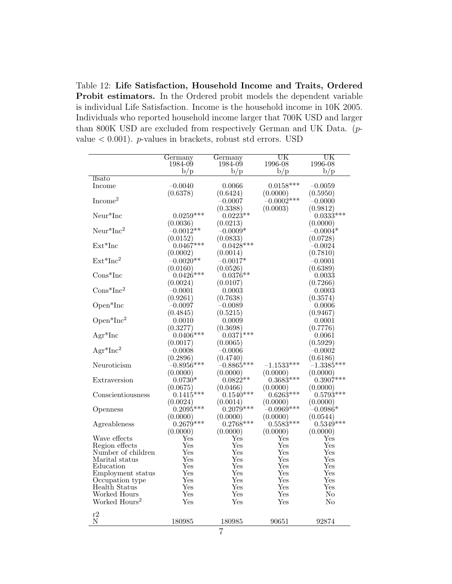Table 12: Life Satisfaction, Household Income and Traits, Ordered Probit estimators. In the Ordered probit models the dependent variable is individual Life Satisfaction. Income is the household income in 10K 2005. Individuals who reported household income larger that 700K USD and larger than 800K USD are excluded from respectively German and UK Data. (pvalue  $< 0.001$ ). *p*-values in brackets, robust std errors. USD

|                           | Germany      | Germany              | UK           | UK                   |
|---------------------------|--------------|----------------------|--------------|----------------------|
|                           | 1984-09      | 1984-09              | 1996-08      | 1996-08              |
|                           | b/p          | b/p                  | b/p          | b/p                  |
| <i>lfsato</i>             |              |                      |              |                      |
| Income                    | $-0.0040$    | 0.0066               | $0.0158***$  | $-0.0059$            |
|                           | (0.6378)     | (0.6424)             | (0.0000)     | (0.5950)             |
| Income <sup>2</sup>       |              | $-0.0007$            | $-0.0002***$ | $-0.0000$            |
|                           |              | (0.3388)             | (0.0003)     | (0.9812)             |
| $Neur*Inc$                | $0.0259***$  | $0.0223**$           |              | $0.0333***$          |
|                           | (0.0036)     | (0.0213)             |              | (0.0000)             |
| $Neur*Inc2$               | $-0.0012**$  | $-0.0009*$           |              | $-0.0004*$           |
|                           | (0.0152)     | (0.0833)             |              | (0.0728)             |
| $Ext*Inc$                 | $0.0467***$  | $0.0428***$          |              | $-0.0024$            |
|                           | (0.0002)     | (0.0014)             |              | (0.7810)             |
| $Ext*Inc2$                | $-0.0020**$  | $-0.0017^*$          |              | $-0.0001$            |
|                           | (0.0160)     | (0.0526)             |              | (0.6389)             |
| $Cons*Inc$                | $0.0426***$  | $0.0376**$           |              | 0.0033               |
|                           | (0.0024)     | (0.0107)             |              | (0.7266)             |
| $Cons*Inc^2$              | $-0.0001$    | 0.0003               |              | 0.0003               |
|                           | (0.9261)     | (0.7638)             |              | (0.3574)             |
| Open*Inc                  | $-0.0097$    | $-0.0089$            |              | 0.0006               |
|                           |              |                      |              |                      |
|                           | (0.4845)     | (0.5215)             |              | (0.9467)             |
| $Open*Inc^2$              | 0.0010       | 0.0009               |              | 0.0001               |
|                           | (0.3277)     | (0.3698)             |              | (0.7776)             |
| $Agr^*Inc$                | $0.0406***$  | $0.0371***$          |              | 0.0061               |
|                           | (0.0017)     | (0.0065)             |              | (0.5929)             |
| $Agr^*Inc^2$              | $-0.0008$    | $-0.0006$            |              | $-0.0002$            |
|                           | (0.2896)     | (0.4740)             |              | (0.6186)             |
| Neuroticism               | $-0.8956***$ | $-0.8865***$         | $-1.1533***$ | $-1.3385***$         |
|                           | (0.0000)     | (0.0000)             | (0.0000)     | (0.0000)             |
| Extraversion              | $0.0730*$    | $0.0822**$           | $0.3683***$  | $0.3907***$          |
|                           | (0.0675)     | (0.0466)             | (0.0000)     | (0.0000)             |
| Conscientiousness         | $0.1415***$  | $0.1540***$          | $0.6263***$  | $0.5793***$          |
|                           | (0.0024)     | (0.0014)             | (0.0000)     | (0.0000)             |
| Openness                  | $0.2095***$  | $0.2079***$          | $-0.0969***$ | $\hbox{--}0.0986^*$  |
|                           | (0.0000)     | (0.0000)             | (0.0000)     | (0.0544)             |
| Agreableness              | $0.2679***$  | $0.2768***$          | $0.5583***$  | $0.5349***$          |
|                           | (0.0000)     | (0.0000)             | (0.0000)     | (0.0000)             |
| Wave effects              | Yes          | Yes                  | Yes          | Yes                  |
| Region effects            | Yes          | Yes                  | Yes          | $\operatorname{Yes}$ |
| Number of children        | Yes          | Yes                  | Yes          | Yes                  |
| Marital status            | Yes          | Yes                  | $_{\rm Yes}$ | Yes                  |
| Education                 | Yes          | $\operatorname{Yes}$ | Yes          | $\operatorname{Yes}$ |
| Employment status         | Yes          | Yes                  | $_{\rm Yes}$ | $_{\rm Yes}$         |
| Occupation type           | Yes          | $\operatorname{Yes}$ | Yes          | Yes                  |
| Health Status             | Yes          | $_{\rm Yes}$         | Yes          | $\operatorname{Yes}$ |
| Worked Hours              | $_{\rm Yes}$ | Yes                  | $_{\rm Yes}$ | No                   |
| Worked Hours <sup>2</sup> | $_{\rm Yes}$ | $_{\rm Yes}$         | $_{\rm Yes}$ | No                   |
| r2                        |              |                      |              |                      |
| Ν                         | 180985       | 180985               | 90651        | 92874                |
|                           |              |                      |              |                      |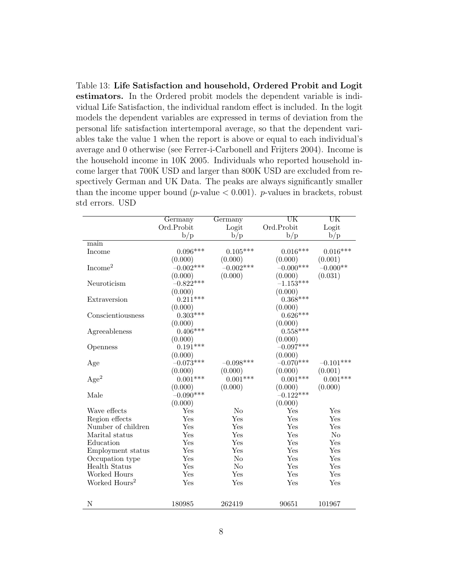Table 13: Life Satisfaction and household, Ordered Probit and Logit estimators. In the Ordered probit models the dependent variable is individual Life Satisfaction, the individual random effect is included. In the logit models the dependent variables are expressed in terms of deviation from the personal life satisfaction intertemporal average, so that the dependent variables take the value 1 when the report is above or equal to each individual's average and 0 otherwise (see Ferrer-i-Carbonell and Frijters 2004). Income is the household income in 10K 2005. Individuals who reported household income larger that 700K USD and larger than 800K USD are excluded from respectively German and UK Data. The peaks are always significantly smaller than the income upper bound (*p*-value  $< 0.001$ ). *p*-values in brackets, robust std errors. USD

|                           | Germany     | Germany        | $\overline{\text{UK}}$ | $\overline{\text{UK}}$ |
|---------------------------|-------------|----------------|------------------------|------------------------|
|                           | Ord.Probit  | Logit          | Ord.Probit             | Logit                  |
|                           | b/p         | b/p            | b/p                    | b/p                    |
| main                      |             |                |                        |                        |
| Income                    | $0.096***$  | $0.105***$     | $0.016***$             | $0.016***$             |
|                           | (0.000)     | (0.000)        | (0.000)                | (0.001)                |
| Income <sup>2</sup>       | $-0.002***$ | $-0.002***$    | $-0.000***$            | $-0.000**$             |
|                           | (0.000)     | (0.000)        | (0.000)                | (0.031)                |
| Neuroticism               | $-0.822***$ |                | $-1.153***$            |                        |
|                           | (0.000)     |                | (0.000)                |                        |
| Extraversion              | $0.211***$  |                | $0.368***$             |                        |
|                           | (0.000)     |                | (0.000)                |                        |
| Conscientiousness         | $0.303***$  |                | $0.626***$             |                        |
|                           | (0.000)     |                | (0.000)                |                        |
| Agreeableness             | $0.406***$  |                | $0.558***$             |                        |
|                           | (0.000)     |                | (0.000)                |                        |
| Openness                  | $0.191***$  |                | $-0.097***$            |                        |
|                           | (0.000)     |                | (0.000)                |                        |
| Age                       | $-0.073***$ | $-0.098***$    | $-0.070***$            | $-0.101***$            |
|                           | (0.000)     | (0.000)        | (0.000)                | (0.001)                |
| Age <sup>2</sup>          | $0.001***$  | $0.001***$     | $0.001***$             | $0.001***$             |
|                           | (0.000)     | (0.000)        | (0.000)                | (0.000)                |
| Male                      | $-0.090***$ |                | $-0.122***$            |                        |
|                           | (0.000)     |                | (0.000)                |                        |
| Wave effects              | Yes         | N <sub>o</sub> | Yes                    | Yes                    |
| Region effects            | Yes         | Yes            | Yes                    | Yes                    |
| Number of children        | Yes         | Yes            | Yes                    | Yes                    |
| Marital status            | Yes         | Yes            | Yes                    | N <sub>o</sub>         |
| Education                 | Yes         | Yes            | Yes                    | Yes                    |
| Employment status         | Yes         | Yes            | Yes                    | Yes                    |
| Occupation type           | Yes         | N <sub>o</sub> | Yes                    | Yes                    |
| <b>Health Status</b>      | Yes         | N <sub>o</sub> | Yes                    | Yes                    |
| Worked Hours              | Yes         | Yes            | Yes                    | Yes                    |
| Worked Hours <sup>2</sup> | Yes         | Yes            | Yes                    | Yes                    |
|                           |             |                |                        |                        |
| N                         | 180985      | 262419         | 90651                  | 101967                 |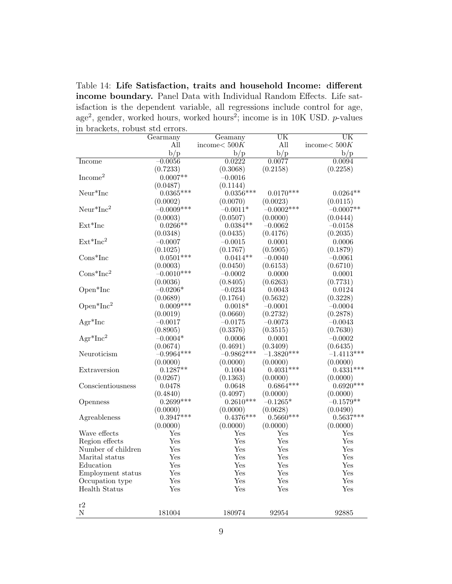Table 14: Life Satisfaction, traits and household Income: different income boundary. Panel Data with Individual Random Effects. Life satisfaction is the dependent variable, all regressions include control for age, age<sup>2</sup>, gender, worked hours, worked hours<sup>2</sup>; income is in 10K USD. *p*-values in brackets, robust std errors.

| $\mathbf{u}$ because, | ropable bed cribit. |                 | UК           | $\overline{\text{UK}}$ |
|-----------------------|---------------------|-----------------|--------------|------------------------|
|                       | Gearmany            | Geamany         |              |                        |
|                       | All                 | income $< 500K$ | All          | income $< 500K$        |
|                       | b/p                 | b/p             | b/p          | b/p                    |
| <b>Income</b>         | $-0.0056$           | 0.0222          | 0.0077       | 0.0094                 |
|                       | (0.7233)            | (0.3068)        | (0.2158)     | (0.2258)               |
| Income <sup>2</sup>   | $0.0007**$          | $-0.0016$       |              |                        |
|                       | (0.0487)            | (0.1144)        |              |                        |
| $Neur*Inc$            | $0.0365***$         | $0.0356***$     | $0.0170***$  | $0.0264**$             |
|                       | (0.0002)            | (0.0070)        | (0.0023)     | (0.0115)               |
| $Neur*Inc2$           | $-0.0009***$        | $-0.0011*$      | $-0.0002***$ | $-0.0007**$            |
|                       | (0.0003)            | (0.0507)        | (0.0000)     | (0.0444)               |
| $Ext*Inc$             | $0.0266**$          | $0.0384**$      | $-0.0062$    | $-0.0158$              |
|                       | (0.0348)            | (0.0435)        | (0.4176)     | (0.2035)               |
| $Ext*Inc2$            | $-0.0007$           | $-0.0015$       | 0.0001       | 0.0006                 |
|                       | (0.1025)            | (0.1767)        | (0.5905)     | (0.1879)               |
| $Cons*Inc$            | $0.0501***$         | $0.0414**$      | $-0.0040$    | $-0.0061$              |
|                       | (0.0003)            | (0.0450)        | (0.6153)     | (0.6710)               |
| $Cons*Inc^2$          | $-0.0010***$        | $-0.0002$       | 0.0000       | 0.0001                 |
|                       | (0.0036)            | (0.8405)        | (0.6263)     | (0.7731)               |
| Open <sup>*</sup> Inc | $-0.0206*$          | $-0.0234$       |              |                        |
|                       |                     |                 | 0.0043       | 0.0124                 |
|                       | (0.0689)            | (0.1764)        | (0.5632)     | (0.3228)               |
| $Open*Inc^2$          | $0.0009***$         | $0.0018*$       | $-0.0001$    | $-0.0004$              |
|                       | (0.0019)            | (0.0660)        | (0.2732)     | (0.2878)               |
| $Agr^*Inc$            | $-0.0017$           | $-0.0175$       | $-0.0073$    | $-0.0043$              |
|                       | (0.8905)            | (0.3376)        | (0.3515)     | (0.7630)               |
| $Agr^*Inc^2$          | $-0.0004*$          | 0.0006          | 0.0001       | $-0.0002$              |
|                       | (0.0674)            | (0.4691)        | (0.3409)     | (0.6435)               |
| Neuroticism           | $-0.9964***$        | $-0.9862***$    | $-1.3820***$ | $-1.4113***$           |
|                       | (0.0000)            | (0.0000)        | (0.0000)     | (0.0000)               |
| Extraversion          | $0.1287**$          | 0.1004          | $0.4031***$  | $0.4331***$            |
|                       | (0.0267)            | (0.1363)        | (0.0000)     | (0.0000)               |
| Conscientiousness     | 0.0478              | 0.0648          | $0.6864***$  | $0.6920***$            |
|                       | (0.4840)            | (0.4097)        | (0.0000)     | (0.0000)               |
| Openness              | $0.2699***$         | $0.2610***$     | $-0.1265*$   | $-0.1579**$            |
|                       | (0.0000)            | (0.0000)        | (0.0628)     | (0.0490)               |
| Agreableness          | $0.3947***$         | $0.4376***$     | $0.5660***$  | $0.5637***$            |
|                       | (0.0000)            | (0.0000)        | (0.0000)     | (0.0000)               |
| Wave effects          | Yes                 | Yes             | $_{\rm Yes}$ | Yes                    |
| Region effects        | Yes                 | Yes             | Yes          | Yes                    |
| Number of children    | Yes                 | Yes             | Yes          | Yes                    |
| Marital status        | Yes                 | Yes             | Yes          | Yes                    |
|                       |                     |                 |              |                        |
| Education             | Yes                 | Yes             | Yes          | Yes                    |
| Employment status     | Yes                 | Yes             | Yes          | Yes                    |
| Occupation type       | Yes                 | Yes             | Yes          | Yes                    |
| Health Status         | Yes                 | Yes             | Yes          | Yes                    |
|                       |                     |                 |              |                        |
| r2                    |                     |                 |              |                        |
| Ν                     | 181004              | 180974          | 92954        | 92885                  |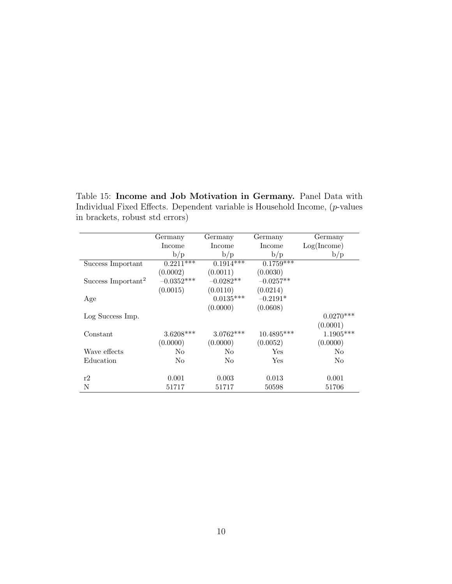Table 15: Income and Job Motivation in Germany. Panel Data with Individual Fixed Effects. Dependent variable is Household Income, (p-values in brackets, robust std errors)

|                                | Germany           | Germany     | Germany      | Germany        |
|--------------------------------|-------------------|-------------|--------------|----------------|
|                                | Income            | Income      | Income       | Log(Income)    |
|                                | b/p               | b/p         | b/p          | b/p            |
| Success Important              | $0.2211***$       | $0.1914***$ | $0.1759***$  |                |
|                                | (0.0002)          | (0.0011)    | (0.0030)     |                |
| Success Important <sup>2</sup> | $-0.0352^{***}\,$ | $-0.0282**$ | $-0.0257**$  |                |
|                                | (0.0015)          | (0.0110)    | (0.0214)     |                |
| Age                            |                   | $0.0135***$ | $-0.2191*$   |                |
|                                |                   | (0.0000)    | (0.0608)     |                |
| Log Success Imp.               |                   |             |              | $0.0270***$    |
|                                |                   |             |              | (0.0001)       |
| Constant                       | $3.6208***$       | $3.0762***$ | $10.4895***$ | $1.1905***$    |
|                                | (0.0000)          | (0.0000)    | (0.0052)     | (0.0000)       |
| Wave effects                   | N <sub>o</sub>    | No          | Yes          | N <sub>o</sub> |
| Education                      | No                | No          | Yes          | No             |
|                                |                   |             |              |                |
| r2                             | 0.001             | 0.003       | 0.013        | 0.001          |
| N                              | 51717             | 51717       | 50598        | 51706          |